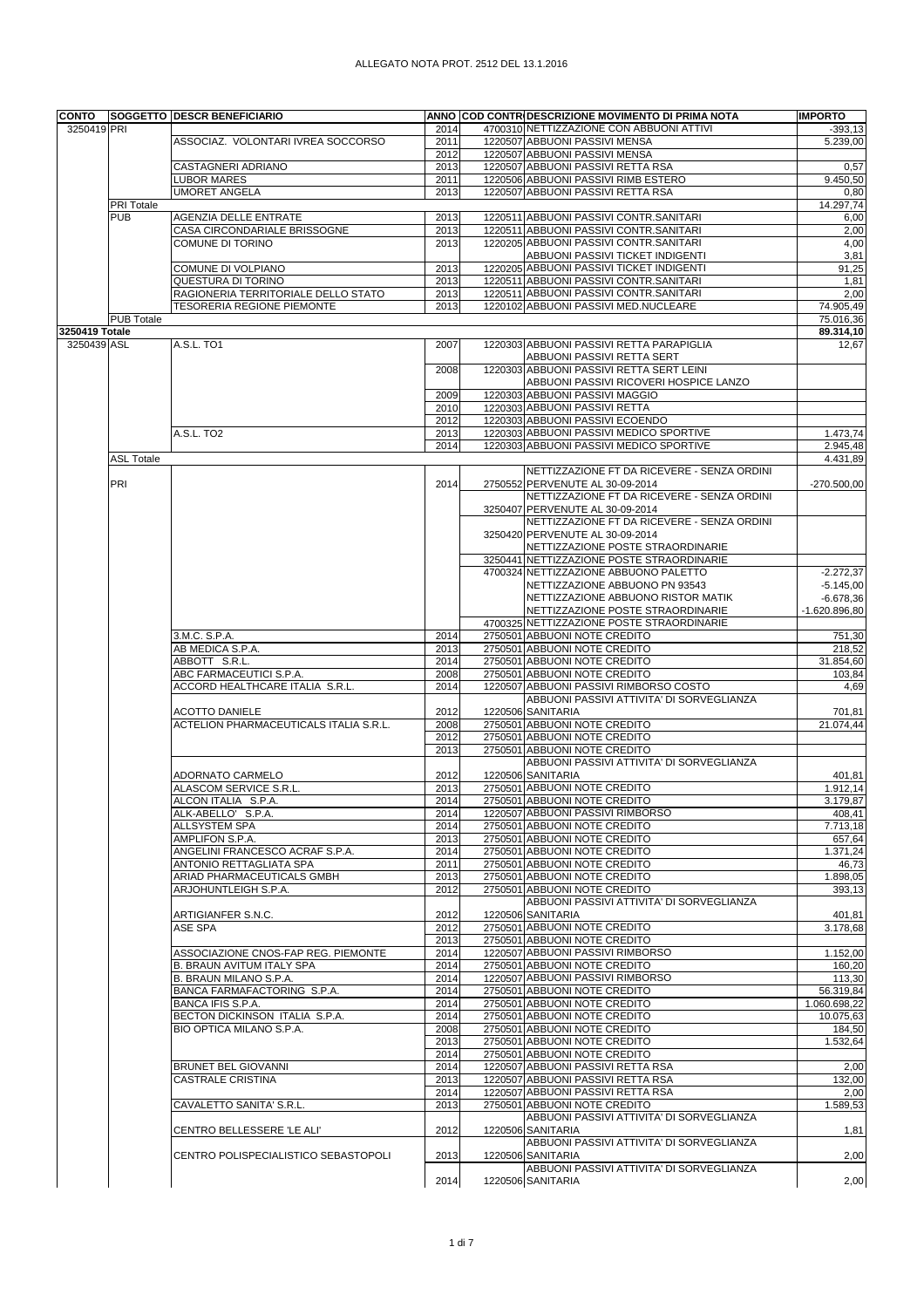## ALLEGATO NOTA PROT. 2512 DEL 13.1.2016

| <b>CONTO</b>                                 |                   | <b>SOGGETTO DESCR BENEFICIARIO</b>                  |              | ANNO COD CONTRIDESCRIZIONE MOVIMENTO DI PRIMA NOTA                                  | <b>IMPORTO</b>        |
|----------------------------------------------|-------------------|-----------------------------------------------------|--------------|-------------------------------------------------------------------------------------|-----------------------|
|                                              |                   | ASSOCIAZ. VOLONTARI IVREA SOCCORSO                  | 2014<br>2011 | 4700310 NETTIZZAZIONE CON ABBUONI ATTIVI<br>1220507 ABBUONI PASSIVI MENSA           | $-393,13$<br>5.239,00 |
|                                              |                   |                                                     | 2012         | 1220507 ABBUONI PASSIVI MENSA                                                       |                       |
|                                              |                   | CASTAGNERI ADRIANO                                  | 2013         | 1220507 ABBUONI PASSIVI RETTA RSA                                                   | 0,57                  |
|                                              |                   | <b>LUBOR MARES</b>                                  | 2011         | 1220506 ABBUONI PASSIVI RIMB ESTERO                                                 | 9.450,50              |
|                                              | PRI Totale        | <b>UMORET ANGELA</b>                                | 2013         | 1220507 ABBUONI PASSIVI RETTA RSA                                                   | 0,80<br>14.297.74     |
| 3250419 PRI<br>3250419 Totale<br>3250439 ASL | <b>PUB</b>        | <b>AGENZIA DELLE ENTRATE</b>                        | 2013         | 1220511 ABBUONI PASSIVI CONTR.SANITARI                                              | 6,00                  |
|                                              |                   | CASA CIRCONDARIALE BRISSOGNE                        | 2013         | 1220511 ABBUONI PASSIVI CONTR.SANITARI                                              | 2,00                  |
|                                              |                   | COMUNE DI TORINO                                    | 2013         | 1220205 ABBUONI PASSIVI CONTR.SANITARI                                              | 4,00                  |
|                                              |                   | COMUNE DI VOLPIANO                                  | 2013         | ABBUONI PASSIVI TICKET INDIGENTI<br>1220205 ABBUONI PASSIVI TICKET INDIGENTI        | 3,81<br>91,25         |
|                                              |                   | QUESTURA DI TORINO                                  | 2013         | 1220511 ABBUONI PASSIVI CONTR.SANITARI                                              | 1,81                  |
|                                              |                   | RAGIONERIA TERRITORIALE DELLO STATO                 | 2013         | 1220511 ABBUONI PASSIVI CONTR.SANITARI                                              | 2,00                  |
|                                              |                   | <b>TESORERIA REGIONE PIEMONTE</b>                   | 2013         | 1220102 ABBUONI PASSIVI MED.NUCLEARE                                                | 74.905,49             |
|                                              | <b>PUB Totale</b> |                                                     |              |                                                                                     | 75.016,36             |
|                                              |                   | A.S.L. TO1                                          | 2007         | 1220303 ABBUONI PASSIVI RETTA PARAPIGLIA                                            | 89.314,10<br>12,67    |
|                                              |                   |                                                     |              | ABBUONI PASSIVI RETTA SERT                                                          |                       |
|                                              |                   |                                                     | 2008         | 1220303 ABBUONI PASSIVI RETTA SERT LEINI                                            |                       |
|                                              |                   |                                                     |              | ABBUONI PASSIVI RICOVERI HOSPICE LANZO                                              |                       |
|                                              |                   |                                                     | 2009         | 1220303 ABBUONI PASSIVI MAGGIO<br>1220303 ABBUONI PASSIVI RETTA                     |                       |
|                                              |                   |                                                     | 2010<br>2012 | 1220303 ABBUONI PASSIVI ECOENDO                                                     |                       |
|                                              |                   | A.S.L. TO <sub>2</sub>                              | 2013         | 1220303 ABBUONI PASSIVI MEDICO SPORTIVE                                             | 1.473,74              |
|                                              |                   |                                                     | 2014         | 1220303 ABBUONI PASSIVI MEDICO SPORTIVE                                             | 2.945,48              |
|                                              | <b>ASL Totale</b> |                                                     |              |                                                                                     | 4.431,89              |
|                                              |                   |                                                     |              | NETTIZZAZIONE FT DA RICEVERE - SENZA ORDINI                                         |                       |
|                                              | PRI               |                                                     | 2014         | 2750552 PERVENUTE AL 30-09-2014<br>NETTIZZAZIONE FT DA RICEVERE - SENZA ORDINI      | $-270.500,00$         |
|                                              |                   |                                                     |              | 3250407 PERVENUTE AL 30-09-2014                                                     |                       |
|                                              |                   |                                                     |              | NETTIZZAZIONE FT DA RICEVERE - SENZA ORDINI                                         |                       |
|                                              |                   |                                                     |              | 3250420 PERVENUTE AL 30-09-2014                                                     |                       |
|                                              |                   |                                                     |              | NETTIZZAZIONE POSTE STRAORDINARIE<br>3250441 NETTIZZAZIONE POSTE STRAORDINARIE      |                       |
|                                              |                   |                                                     |              | 4700324 NETTIZZAZIONE ABBUONO PALETTO                                               | $-2.272,37$           |
|                                              |                   |                                                     |              | NETTIZZAZIONE ABBUONO PN 93543                                                      | $-5.145,00$           |
|                                              |                   |                                                     |              | NETTIZZAZIONE ABBUONO RISTOR MATIK                                                  | $-6.678,36$           |
|                                              |                   |                                                     |              | NETTIZZAZIONE POSTE STRAORDINARIE                                                   | $-1.620.896,80$       |
|                                              |                   | 3.M.C. S.P.A.                                       | 2014         | 4700325 NETTIZZAZIONE POSTE STRAORDINARIE<br>2750501 ABBUONI NOTE CREDITO           | 751,30                |
|                                              |                   | AB MEDICA S.P.A.                                    | 2013         | 2750501 ABBUONI NOTE CREDITO                                                        | 218,52                |
|                                              |                   | ABBOTT S.R.L.                                       | 2014         | 2750501 ABBUONI NOTE CREDITO                                                        | 31.854,60             |
|                                              |                   | ABC FARMACEUTICI S.P.A.                             | 2008         | 2750501 ABBUONI NOTE CREDITO                                                        | 103,84                |
|                                              |                   | ACCORD HEALTHCARE ITALIA S.R.L.                     | 2014         | 1220507 ABBUONI PASSIVI RIMBORSO COSTO<br>ABBUONI PASSIVI ATTIVITA' DI SORVEGLIANZA | 4,69                  |
|                                              |                   | <b>ACOTTO DANIELE</b>                               | 2012         | 1220506 SANITARIA                                                                   | 701,81                |
|                                              |                   | ACTELION PHARMACEUTICALS ITALIA S.R.L.              | 2008         | 2750501 ABBUONI NOTE CREDITO                                                        | 21.074,44             |
|                                              |                   |                                                     | 2012         | 2750501 ABBUONI NOTE CREDITO                                                        |                       |
|                                              |                   |                                                     | 2013         | 2750501 ABBUONI NOTE CREDITO<br>ABBUONI PASSIVI ATTIVITA' DI SORVEGLIANZA           |                       |
|                                              |                   | ADORNATO CARMELO                                    | 2012         | 1220506 SANITARIA                                                                   | 401,81                |
|                                              |                   | ALASCOM SERVICE S.R.L.                              | 2013         | 2750501 ABBUONI NOTE CREDITO                                                        | 1.912,14              |
|                                              |                   | ALCON ITALIA S.P.A.                                 | 2014         | 2750501 ABBUONI NOTE CREDITO                                                        | 3.179.87              |
|                                              |                   | ALK-ABELLO' S.P.A.                                  | 2014         | 1220507 ABBUONI PASSIVI RIMBORSO                                                    | 408,41                |
|                                              |                   | ALLSYSTEM SPA<br>AMPLIFON S.P.A.                    | 2014<br>2013 | 2750501 ABBUONI NOTE CREDITO<br>2750501 ABBUONI NOTE CREDITO                        | 7.713,18<br>657.64    |
|                                              |                   | ANGELINI FRANCESCO ACRAF S.P.A.                     | 2014         | 2750501 ABBUONI NOTE CREDITO                                                        | 1.371,24              |
|                                              |                   | ANTONIO RETTAGLIATA SPA                             | 2011         | 2750501 ABBUONI NOTE CREDITO                                                        | 46,73                 |
|                                              |                   | ARIAD PHARMACEUTICALS GMBH                          | 2013         | 2750501 ABBUONI NOTE CREDITO                                                        | 1.898,05              |
|                                              |                   | ARJOHUNTLEIGH S.P.A.                                | 2012         | 2750501 ABBUONI NOTE CREDITO<br>ABBUONI PASSIVI ATTIVITA' DI SORVEGLIANZA           | 393,13                |
|                                              |                   | ARTIGIANFER S.N.C.                                  | 2012         | 1220506 SANITARIA                                                                   | 401,81                |
|                                              |                   | ASE SPA                                             | 2012         | 2750501 ABBUONI NOTE CREDITO                                                        | 3.178,68              |
|                                              |                   |                                                     | 2013         | 2750501 ABBUONI NOTE CREDITO                                                        |                       |
|                                              |                   | ASSOCIAZIONE CNOS-FAP REG. PIEMONTE                 | 2014         | 1220507 ABBUONI PASSIVI RIMBORSO                                                    | $\overline{1.152,00}$ |
|                                              |                   | B. BRAUN AVITUM ITALY SPA<br>B. BRAUN MILANO S.P.A. | 2014<br>2014 | 2750501 ABBUONI NOTE CREDITO<br>1220507 ABBUONI PASSIVI RIMBORSO                    | 160,20<br>113,30      |
|                                              |                   | BANCA FARMAFACTORING S.P.A.                         | 2014         | 2750501 ABBUONI NOTE CREDITO                                                        | 56.319,84             |
|                                              |                   | BANCA IFIS S.P.A.                                   | 2014         | 2750501 ABBUONI NOTE CREDITO                                                        | 1.060.698,22          |
|                                              |                   | BECTON DICKINSON ITALIA S.P.A.                      | 2014         | 2750501 ABBUONI NOTE CREDITO                                                        | 10.075,63             |
|                                              |                   | BIO OPTICA MILANO S.P.A.                            | 2008<br>2013 | 2750501 ABBUONI NOTE CREDITO<br>2750501 ABBUONI NOTE CREDITO                        | 184,50<br>1.532,64    |
|                                              |                   |                                                     | 2014         | 2750501 ABBUONI NOTE CREDITO                                                        |                       |
|                                              |                   | BRUNET BEL GIOVANNI                                 | 2014         | 1220507 ABBUONI PASSIVI RETTA RSA                                                   | 2,00                  |
|                                              |                   | <b>CASTRALE CRISTINA</b>                            | 2013         | 1220507 ABBUONI PASSIVI RETTA RSA                                                   | 132,00                |
|                                              |                   |                                                     | 2014         | 1220507 ABBUONI PASSIVI RETTA RSA                                                   | 2,00                  |
|                                              |                   | CAVALETTO SANITA' S.R.L.                            | 2013         | 2750501 ABBUONI NOTE CREDITO<br>ABBUONI PASSIVI ATTIVITA' DI SORVEGLIANZA           | 1.589,53              |
|                                              |                   | CENTRO BELLESSERE 'LE ALI'                          | 2012         | 1220506 SANITARIA                                                                   | 1,81                  |
|                                              |                   |                                                     |              | ABBUONI PASSIVI ATTIVITA' DI SORVEGLIANZA                                           |                       |
|                                              |                   | CENTRO POLISPECIALISTICO SEBASTOPOLI                | 2013         | 1220506 SANITARIA                                                                   | 2,00                  |
|                                              |                   |                                                     | 2014         | ABBUONI PASSIVI ATTIVITA' DI SORVEGLIANZA<br>1220506 SANITARIA                      | 2,00                  |
|                                              |                   |                                                     |              |                                                                                     |                       |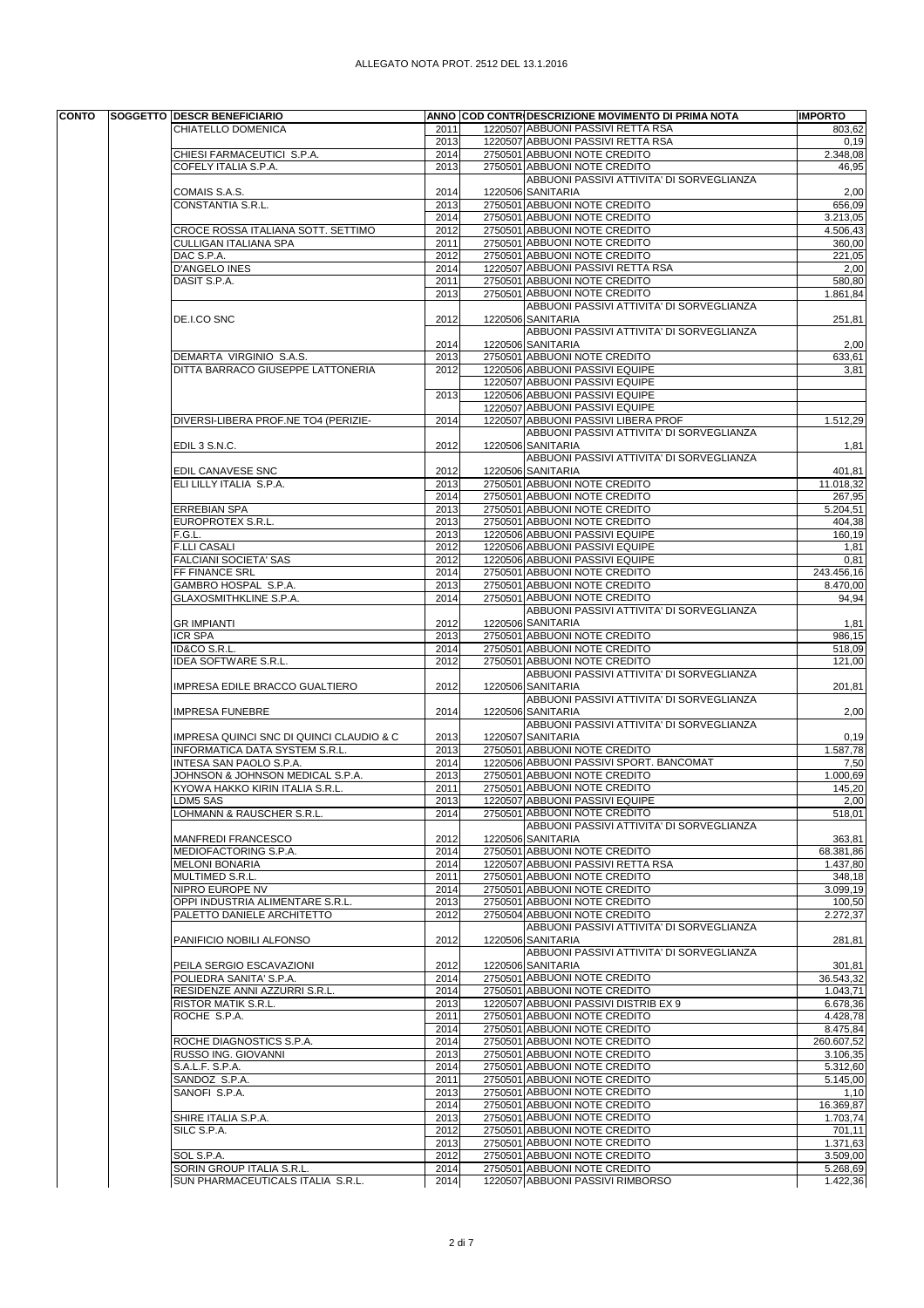| CHIATELLO DOMENICA<br>2011<br>2013<br>2750501 ABBUONI NOTE CREDITO<br>CHIESI FARMACEUTICI S.P.A.<br>2014<br>COFELY ITALIA S.P.A.<br>2013<br>2750501 ABBUONI NOTE CREDITO<br>1220506 SANITARIA<br>2014<br>COMAIS S.A.S.<br>2750501 ABBUONI NOTE CREDITO<br>CONSTANTIA S.R.L.<br>2013<br>2750501 ABBUONI NOTE CREDITO<br>2014<br>2750501 ABBUONI NOTE CREDITO<br>CROCE ROSSA ITALIANA SOTT. SETTIMO<br>2012<br>2750501 ABBUONI NOTE CREDITO<br>CULLIGAN ITALIANA SPA<br>2011<br>2750501 ABBUONI NOTE CREDITO<br>DAC S.P.A.<br>2012<br><b>D'ANGELO INES</b><br>2014<br>DASIT S.P.A.<br>2011<br>2750501 ABBUONI NOTE CREDITO<br>2013<br>2750501 ABBUONI NOTE CREDITO<br>DE.I.CO SNC<br>2012<br>1220506 SANITARIA<br>1220506 SANITARIA<br>2014<br>2750501 ABBUONI NOTE CREDITO<br>DEMARTA VIRGINIO S.A.S.<br>2013<br>DITTA BARRACO GIUSEPPE LATTONERIA<br>1220506 ABBUONI PASSIVI EQUIPE<br>2012<br>1220507 ABBUONI PASSIVI EQUIPE | 1220507 ABBUONI PASSIVI RETTA RSA<br>803,62<br>1220507 ABBUONI PASSIVI RETTA RSA<br>0,19<br>2.348,08<br>46,95<br>ABBUONI PASSIVI ATTIVITA' DI SORVEGLIANZA<br>2,00<br>656,09<br>3.213,05<br>4.506,43<br>360,00<br>221,05<br>1220507 ABBUONI PASSIVI RETTA RSA<br>2,00<br>580.80<br>1.861,84<br>ABBUONI PASSIVI ATTIVITA' DI SORVEGLIANZA<br>251,81<br>ABBUONI PASSIVI ATTIVITA' DI SORVEGLIANZA |
|-------------------------------------------------------------------------------------------------------------------------------------------------------------------------------------------------------------------------------------------------------------------------------------------------------------------------------------------------------------------------------------------------------------------------------------------------------------------------------------------------------------------------------------------------------------------------------------------------------------------------------------------------------------------------------------------------------------------------------------------------------------------------------------------------------------------------------------------------------------------------------------------------------------------------------|-------------------------------------------------------------------------------------------------------------------------------------------------------------------------------------------------------------------------------------------------------------------------------------------------------------------------------------------------------------------------------------------------|
|                                                                                                                                                                                                                                                                                                                                                                                                                                                                                                                                                                                                                                                                                                                                                                                                                                                                                                                               |                                                                                                                                                                                                                                                                                                                                                                                                 |
|                                                                                                                                                                                                                                                                                                                                                                                                                                                                                                                                                                                                                                                                                                                                                                                                                                                                                                                               |                                                                                                                                                                                                                                                                                                                                                                                                 |
|                                                                                                                                                                                                                                                                                                                                                                                                                                                                                                                                                                                                                                                                                                                                                                                                                                                                                                                               |                                                                                                                                                                                                                                                                                                                                                                                                 |
|                                                                                                                                                                                                                                                                                                                                                                                                                                                                                                                                                                                                                                                                                                                                                                                                                                                                                                                               |                                                                                                                                                                                                                                                                                                                                                                                                 |
|                                                                                                                                                                                                                                                                                                                                                                                                                                                                                                                                                                                                                                                                                                                                                                                                                                                                                                                               |                                                                                                                                                                                                                                                                                                                                                                                                 |
|                                                                                                                                                                                                                                                                                                                                                                                                                                                                                                                                                                                                                                                                                                                                                                                                                                                                                                                               |                                                                                                                                                                                                                                                                                                                                                                                                 |
|                                                                                                                                                                                                                                                                                                                                                                                                                                                                                                                                                                                                                                                                                                                                                                                                                                                                                                                               |                                                                                                                                                                                                                                                                                                                                                                                                 |
|                                                                                                                                                                                                                                                                                                                                                                                                                                                                                                                                                                                                                                                                                                                                                                                                                                                                                                                               |                                                                                                                                                                                                                                                                                                                                                                                                 |
|                                                                                                                                                                                                                                                                                                                                                                                                                                                                                                                                                                                                                                                                                                                                                                                                                                                                                                                               |                                                                                                                                                                                                                                                                                                                                                                                                 |
|                                                                                                                                                                                                                                                                                                                                                                                                                                                                                                                                                                                                                                                                                                                                                                                                                                                                                                                               |                                                                                                                                                                                                                                                                                                                                                                                                 |
|                                                                                                                                                                                                                                                                                                                                                                                                                                                                                                                                                                                                                                                                                                                                                                                                                                                                                                                               |                                                                                                                                                                                                                                                                                                                                                                                                 |
|                                                                                                                                                                                                                                                                                                                                                                                                                                                                                                                                                                                                                                                                                                                                                                                                                                                                                                                               |                                                                                                                                                                                                                                                                                                                                                                                                 |
|                                                                                                                                                                                                                                                                                                                                                                                                                                                                                                                                                                                                                                                                                                                                                                                                                                                                                                                               |                                                                                                                                                                                                                                                                                                                                                                                                 |
|                                                                                                                                                                                                                                                                                                                                                                                                                                                                                                                                                                                                                                                                                                                                                                                                                                                                                                                               |                                                                                                                                                                                                                                                                                                                                                                                                 |
|                                                                                                                                                                                                                                                                                                                                                                                                                                                                                                                                                                                                                                                                                                                                                                                                                                                                                                                               |                                                                                                                                                                                                                                                                                                                                                                                                 |
|                                                                                                                                                                                                                                                                                                                                                                                                                                                                                                                                                                                                                                                                                                                                                                                                                                                                                                                               |                                                                                                                                                                                                                                                                                                                                                                                                 |
|                                                                                                                                                                                                                                                                                                                                                                                                                                                                                                                                                                                                                                                                                                                                                                                                                                                                                                                               |                                                                                                                                                                                                                                                                                                                                                                                                 |
|                                                                                                                                                                                                                                                                                                                                                                                                                                                                                                                                                                                                                                                                                                                                                                                                                                                                                                                               | 2,00                                                                                                                                                                                                                                                                                                                                                                                            |
|                                                                                                                                                                                                                                                                                                                                                                                                                                                                                                                                                                                                                                                                                                                                                                                                                                                                                                                               | 633,61                                                                                                                                                                                                                                                                                                                                                                                          |
|                                                                                                                                                                                                                                                                                                                                                                                                                                                                                                                                                                                                                                                                                                                                                                                                                                                                                                                               | 3,81                                                                                                                                                                                                                                                                                                                                                                                            |
|                                                                                                                                                                                                                                                                                                                                                                                                                                                                                                                                                                                                                                                                                                                                                                                                                                                                                                                               |                                                                                                                                                                                                                                                                                                                                                                                                 |
|                                                                                                                                                                                                                                                                                                                                                                                                                                                                                                                                                                                                                                                                                                                                                                                                                                                                                                                               |                                                                                                                                                                                                                                                                                                                                                                                                 |
| 1220506 ABBUONI PASSIVI EQUIPE<br>2013                                                                                                                                                                                                                                                                                                                                                                                                                                                                                                                                                                                                                                                                                                                                                                                                                                                                                        |                                                                                                                                                                                                                                                                                                                                                                                                 |
| 1220507 ABBUONI PASSIVI EQUIPE                                                                                                                                                                                                                                                                                                                                                                                                                                                                                                                                                                                                                                                                                                                                                                                                                                                                                                |                                                                                                                                                                                                                                                                                                                                                                                                 |
| DIVERSI-LIBERA PROF.NE TO4 (PERIZIE-<br>2014                                                                                                                                                                                                                                                                                                                                                                                                                                                                                                                                                                                                                                                                                                                                                                                                                                                                                  | 1220507 ABBUONI PASSIVI LIBERA PROF<br>1.512,29                                                                                                                                                                                                                                                                                                                                                 |
|                                                                                                                                                                                                                                                                                                                                                                                                                                                                                                                                                                                                                                                                                                                                                                                                                                                                                                                               | ABBUONI PASSIVI ATTIVITA' DI SORVEGLIANZA                                                                                                                                                                                                                                                                                                                                                       |
| 2012<br>1220506 SANITARIA<br>EDIL 3 S.N.C.                                                                                                                                                                                                                                                                                                                                                                                                                                                                                                                                                                                                                                                                                                                                                                                                                                                                                    | 1,81                                                                                                                                                                                                                                                                                                                                                                                            |
|                                                                                                                                                                                                                                                                                                                                                                                                                                                                                                                                                                                                                                                                                                                                                                                                                                                                                                                               | ABBUONI PASSIVI ATTIVITA' DI SORVEGLIANZA                                                                                                                                                                                                                                                                                                                                                       |
| 1220506 SANITARIA<br>2012<br>EDIL CANAVESE SNC                                                                                                                                                                                                                                                                                                                                                                                                                                                                                                                                                                                                                                                                                                                                                                                                                                                                                | 401,81                                                                                                                                                                                                                                                                                                                                                                                          |
| ELI LILLY ITALIA S.P.A.<br>2750501 ABBUONI NOTE CREDITO<br>2013                                                                                                                                                                                                                                                                                                                                                                                                                                                                                                                                                                                                                                                                                                                                                                                                                                                               | 11.018,32                                                                                                                                                                                                                                                                                                                                                                                       |
| 2750501 ABBUONI NOTE CREDITO<br>2014                                                                                                                                                                                                                                                                                                                                                                                                                                                                                                                                                                                                                                                                                                                                                                                                                                                                                          | 267,95                                                                                                                                                                                                                                                                                                                                                                                          |
| 2750501 ABBUONI NOTE CREDITO<br><b>ERREBIAN SPA</b><br>2013                                                                                                                                                                                                                                                                                                                                                                                                                                                                                                                                                                                                                                                                                                                                                                                                                                                                   | $\overline{5.204,51}$                                                                                                                                                                                                                                                                                                                                                                           |
| 2750501 ABBUONI NOTE CREDITO<br>EUROPROTEX S.R.L.<br>2013                                                                                                                                                                                                                                                                                                                                                                                                                                                                                                                                                                                                                                                                                                                                                                                                                                                                     | 404,38                                                                                                                                                                                                                                                                                                                                                                                          |
| 1220506 ABBUONI PASSIVI EQUIPE<br>F.G.L.<br>2013                                                                                                                                                                                                                                                                                                                                                                                                                                                                                                                                                                                                                                                                                                                                                                                                                                                                              | 160.19                                                                                                                                                                                                                                                                                                                                                                                          |
| 1220506 ABBUONI PASSIVI EQUIPE<br><b>F.LLI CASALI</b><br>2012                                                                                                                                                                                                                                                                                                                                                                                                                                                                                                                                                                                                                                                                                                                                                                                                                                                                 | 1,81                                                                                                                                                                                                                                                                                                                                                                                            |
| FALCIANI SOCIETA' SAS<br>2012<br>1220506 ABBUONI PASSIVI EQUIPE                                                                                                                                                                                                                                                                                                                                                                                                                                                                                                                                                                                                                                                                                                                                                                                                                                                               | 0,81                                                                                                                                                                                                                                                                                                                                                                                            |
| 2750501 ABBUONI NOTE CREDITO<br>FF FINANCE SRL<br>2014                                                                                                                                                                                                                                                                                                                                                                                                                                                                                                                                                                                                                                                                                                                                                                                                                                                                        | 243.456,16                                                                                                                                                                                                                                                                                                                                                                                      |
| 2750501 ABBUONI NOTE CREDITO<br>GAMBRO HOSPAL S.P.A.<br>2013                                                                                                                                                                                                                                                                                                                                                                                                                                                                                                                                                                                                                                                                                                                                                                                                                                                                  | 8.470,00                                                                                                                                                                                                                                                                                                                                                                                        |
| GLAXOSMITHKLINE S.P.A.<br>2750501 ABBUONI NOTE CREDITO<br>2014                                                                                                                                                                                                                                                                                                                                                                                                                                                                                                                                                                                                                                                                                                                                                                                                                                                                | 94,94                                                                                                                                                                                                                                                                                                                                                                                           |
|                                                                                                                                                                                                                                                                                                                                                                                                                                                                                                                                                                                                                                                                                                                                                                                                                                                                                                                               | ABBUONI PASSIVI ATTIVITA' DI SORVEGLIANZA                                                                                                                                                                                                                                                                                                                                                       |
|                                                                                                                                                                                                                                                                                                                                                                                                                                                                                                                                                                                                                                                                                                                                                                                                                                                                                                                               |                                                                                                                                                                                                                                                                                                                                                                                                 |
| 1220506 SANITARIA<br>2012<br><b>GR IMPIANTI</b>                                                                                                                                                                                                                                                                                                                                                                                                                                                                                                                                                                                                                                                                                                                                                                                                                                                                               | 1,81                                                                                                                                                                                                                                                                                                                                                                                            |
| 2750501 ABBUONI NOTE CREDITO<br><b>ICR SPA</b><br>2013                                                                                                                                                                                                                                                                                                                                                                                                                                                                                                                                                                                                                                                                                                                                                                                                                                                                        | 986,15                                                                                                                                                                                                                                                                                                                                                                                          |
| ID&CO S.R.L.<br>2014<br>2750501 ABBUONI NOTE CREDITO                                                                                                                                                                                                                                                                                                                                                                                                                                                                                                                                                                                                                                                                                                                                                                                                                                                                          | 518,09                                                                                                                                                                                                                                                                                                                                                                                          |
| IDEA SOFTWARE S.R.L.<br>2750501 ABBUONI NOTE CREDITO<br>2012                                                                                                                                                                                                                                                                                                                                                                                                                                                                                                                                                                                                                                                                                                                                                                                                                                                                  | 121,00                                                                                                                                                                                                                                                                                                                                                                                          |
|                                                                                                                                                                                                                                                                                                                                                                                                                                                                                                                                                                                                                                                                                                                                                                                                                                                                                                                               | ABBUONI PASSIVI ATTIVITA' DI SORVEGLIANZA                                                                                                                                                                                                                                                                                                                                                       |
| 2012<br>1220506 SANITARIA<br>IMPRESA EDILE BRACCO GUALTIERO                                                                                                                                                                                                                                                                                                                                                                                                                                                                                                                                                                                                                                                                                                                                                                                                                                                                   | 201,81                                                                                                                                                                                                                                                                                                                                                                                          |
|                                                                                                                                                                                                                                                                                                                                                                                                                                                                                                                                                                                                                                                                                                                                                                                                                                                                                                                               | ABBUONI PASSIVI ATTIVITA' DI SORVEGLIANZA                                                                                                                                                                                                                                                                                                                                                       |
| 2014<br>1220506 SANITARIA<br><b>IMPRESA FUNEBRE</b>                                                                                                                                                                                                                                                                                                                                                                                                                                                                                                                                                                                                                                                                                                                                                                                                                                                                           | 2,00                                                                                                                                                                                                                                                                                                                                                                                            |
|                                                                                                                                                                                                                                                                                                                                                                                                                                                                                                                                                                                                                                                                                                                                                                                                                                                                                                                               | ABBUONI PASSIVI ATTIVITA' DI SORVEGLIANZA                                                                                                                                                                                                                                                                                                                                                       |
| 1220507 SANITARIA<br>IMPRESA QUINCI SNC DI QUINCI CLAUDIO & C<br>2013                                                                                                                                                                                                                                                                                                                                                                                                                                                                                                                                                                                                                                                                                                                                                                                                                                                         | 0,19                                                                                                                                                                                                                                                                                                                                                                                            |
| 2750501 ABBUONI NOTE CREDITO<br>INFORMATICA DATA SYSTEM S.R.L.<br>2013                                                                                                                                                                                                                                                                                                                                                                                                                                                                                                                                                                                                                                                                                                                                                                                                                                                        | 1.587,78                                                                                                                                                                                                                                                                                                                                                                                        |
| INTESA SAN PAOLO S.P.A.<br>2014                                                                                                                                                                                                                                                                                                                                                                                                                                                                                                                                                                                                                                                                                                                                                                                                                                                                                               | 1220506 ABBUONI PASSIVI SPORT. BANCOMAT<br>7,50                                                                                                                                                                                                                                                                                                                                                 |
| 2750501 ABBUONI NOTE CREDITO<br>JOHNSON & JOHNSON MEDICAL S.P.A.<br>2013                                                                                                                                                                                                                                                                                                                                                                                                                                                                                                                                                                                                                                                                                                                                                                                                                                                      | 1.000,69                                                                                                                                                                                                                                                                                                                                                                                        |
| 2750501 ABBUONI NOTE CREDITO<br>KYOWA HAKKO KIRIN ITALIA S.R.L.<br>2011                                                                                                                                                                                                                                                                                                                                                                                                                                                                                                                                                                                                                                                                                                                                                                                                                                                       | 145,20                                                                                                                                                                                                                                                                                                                                                                                          |
| 1220507 ABBUONI PASSIVI EQUIPE<br>LDM5 SAS<br>2013                                                                                                                                                                                                                                                                                                                                                                                                                                                                                                                                                                                                                                                                                                                                                                                                                                                                            | 2,00                                                                                                                                                                                                                                                                                                                                                                                            |
| LOHMANN & RAUSCHER S.R.L.<br>2014<br>2750501 ABBUONI NOTE CREDITO                                                                                                                                                                                                                                                                                                                                                                                                                                                                                                                                                                                                                                                                                                                                                                                                                                                             | 518,01                                                                                                                                                                                                                                                                                                                                                                                          |
|                                                                                                                                                                                                                                                                                                                                                                                                                                                                                                                                                                                                                                                                                                                                                                                                                                                                                                                               | ABBUONI PASSIVI ATTIVITA' DI SORVEGLIANZA                                                                                                                                                                                                                                                                                                                                                       |
| 1220506 SANITARIA<br><b>MANFREDI FRANCESCO</b><br>2012                                                                                                                                                                                                                                                                                                                                                                                                                                                                                                                                                                                                                                                                                                                                                                                                                                                                        | 363,81                                                                                                                                                                                                                                                                                                                                                                                          |
| 2750501 ABBUONI NOTE CREDITO<br>MEDIOFACTORING S.P.A.<br>2014                                                                                                                                                                                                                                                                                                                                                                                                                                                                                                                                                                                                                                                                                                                                                                                                                                                                 | 68.381,86                                                                                                                                                                                                                                                                                                                                                                                       |
| <b>MELONI BONARIA</b><br>2014                                                                                                                                                                                                                                                                                                                                                                                                                                                                                                                                                                                                                                                                                                                                                                                                                                                                                                 | 1220507 ABBUONI PASSIVI RETTA RSA<br>1.437,80                                                                                                                                                                                                                                                                                                                                                   |
| MULTIMED S.R.L.<br>2011<br>2750501 ABBUONI NOTE CREDITO                                                                                                                                                                                                                                                                                                                                                                                                                                                                                                                                                                                                                                                                                                                                                                                                                                                                       | 348,18                                                                                                                                                                                                                                                                                                                                                                                          |
| NIPRO EUROPE NV<br>2014<br>2750501 ABBUONI NOTE CREDITO                                                                                                                                                                                                                                                                                                                                                                                                                                                                                                                                                                                                                                                                                                                                                                                                                                                                       | 3.099,19                                                                                                                                                                                                                                                                                                                                                                                        |
| 2750501 ABBUONI NOTE CREDITO                                                                                                                                                                                                                                                                                                                                                                                                                                                                                                                                                                                                                                                                                                                                                                                                                                                                                                  |                                                                                                                                                                                                                                                                                                                                                                                                 |
| OPPI INDUSTRIA ALIMENTARE S.R.L.<br>2013                                                                                                                                                                                                                                                                                                                                                                                                                                                                                                                                                                                                                                                                                                                                                                                                                                                                                      | 100,50                                                                                                                                                                                                                                                                                                                                                                                          |
|                                                                                                                                                                                                                                                                                                                                                                                                                                                                                                                                                                                                                                                                                                                                                                                                                                                                                                                               | 2.272,37                                                                                                                                                                                                                                                                                                                                                                                        |
| PALETTO DANIELE ARCHITETTO<br>2012<br>2750504 ABBUONI NOTE CREDITO                                                                                                                                                                                                                                                                                                                                                                                                                                                                                                                                                                                                                                                                                                                                                                                                                                                            | ABBUONI PASSIVI ATTIVITA' DI SORVEGLIANZA                                                                                                                                                                                                                                                                                                                                                       |
|                                                                                                                                                                                                                                                                                                                                                                                                                                                                                                                                                                                                                                                                                                                                                                                                                                                                                                                               |                                                                                                                                                                                                                                                                                                                                                                                                 |
| 2012<br>1220506 SANITARIA<br>PANIFICIO NOBILI ALFONSO                                                                                                                                                                                                                                                                                                                                                                                                                                                                                                                                                                                                                                                                                                                                                                                                                                                                         | 281,81                                                                                                                                                                                                                                                                                                                                                                                          |
|                                                                                                                                                                                                                                                                                                                                                                                                                                                                                                                                                                                                                                                                                                                                                                                                                                                                                                                               | ABBUONI PASSIVI ATTIVITA' DI SORVEGLIANZA                                                                                                                                                                                                                                                                                                                                                       |
| 1220506 SANITARIA<br>PEILA SERGIO ESCAVAZIONI<br>2012                                                                                                                                                                                                                                                                                                                                                                                                                                                                                                                                                                                                                                                                                                                                                                                                                                                                         | 301,81                                                                                                                                                                                                                                                                                                                                                                                          |
| 2750501 ABBUONI NOTE CREDITO<br>POLIEDRA SANITA' S.P.A.<br>2014                                                                                                                                                                                                                                                                                                                                                                                                                                                                                                                                                                                                                                                                                                                                                                                                                                                               | 36.543,32                                                                                                                                                                                                                                                                                                                                                                                       |
| RESIDENZE ANNI AZZURRI S.R.L.<br>2014<br>2750501 ABBUONI NOTE CREDITO                                                                                                                                                                                                                                                                                                                                                                                                                                                                                                                                                                                                                                                                                                                                                                                                                                                         | 1.043,71                                                                                                                                                                                                                                                                                                                                                                                        |
| RISTOR MATIK S.R.L.<br>2013                                                                                                                                                                                                                                                                                                                                                                                                                                                                                                                                                                                                                                                                                                                                                                                                                                                                                                   | 1220507 ABBUONI PASSIVI DISTRIB EX 9<br>6.678,36                                                                                                                                                                                                                                                                                                                                                |
| 2750501 ABBUONI NOTE CREDITO<br>ROCHE S.P.A.<br>2011                                                                                                                                                                                                                                                                                                                                                                                                                                                                                                                                                                                                                                                                                                                                                                                                                                                                          | 4.428,78                                                                                                                                                                                                                                                                                                                                                                                        |
| 2014<br>2750501 ABBUONI NOTE CREDITO                                                                                                                                                                                                                                                                                                                                                                                                                                                                                                                                                                                                                                                                                                                                                                                                                                                                                          | 8.475,84                                                                                                                                                                                                                                                                                                                                                                                        |
| 2750501 ABBUONI NOTE CREDITO<br>ROCHE DIAGNOSTICS S.P.A.<br>2014                                                                                                                                                                                                                                                                                                                                                                                                                                                                                                                                                                                                                                                                                                                                                                                                                                                              | 260.607,52                                                                                                                                                                                                                                                                                                                                                                                      |
| RUSSO ING. GIOVANNI<br>2013<br>2750501 ABBUONI NOTE CREDITO                                                                                                                                                                                                                                                                                                                                                                                                                                                                                                                                                                                                                                                                                                                                                                                                                                                                   | 3.106,35                                                                                                                                                                                                                                                                                                                                                                                        |
| 2750501 ABBUONI NOTE CREDITO<br>2014                                                                                                                                                                                                                                                                                                                                                                                                                                                                                                                                                                                                                                                                                                                                                                                                                                                                                          |                                                                                                                                                                                                                                                                                                                                                                                                 |
| S.A.L.F. S.P.A.                                                                                                                                                                                                                                                                                                                                                                                                                                                                                                                                                                                                                                                                                                                                                                                                                                                                                                               | 5.312,60                                                                                                                                                                                                                                                                                                                                                                                        |
| SANDOZ S.P.A.<br>2750501 ABBUONI NOTE CREDITO<br>2011                                                                                                                                                                                                                                                                                                                                                                                                                                                                                                                                                                                                                                                                                                                                                                                                                                                                         | 5.145,00                                                                                                                                                                                                                                                                                                                                                                                        |
| SANOFI S.P.A.<br>2750501 ABBUONI NOTE CREDITO<br>2013                                                                                                                                                                                                                                                                                                                                                                                                                                                                                                                                                                                                                                                                                                                                                                                                                                                                         | 1,10                                                                                                                                                                                                                                                                                                                                                                                            |
| 2014<br>2750501 ABBUONI NOTE CREDITO                                                                                                                                                                                                                                                                                                                                                                                                                                                                                                                                                                                                                                                                                                                                                                                                                                                                                          | 16.369,87                                                                                                                                                                                                                                                                                                                                                                                       |
| 2750501 ABBUONI NOTE CREDITO<br>SHIRE ITALIA S.P.A.<br>2013                                                                                                                                                                                                                                                                                                                                                                                                                                                                                                                                                                                                                                                                                                                                                                                                                                                                   | 1.703,74                                                                                                                                                                                                                                                                                                                                                                                        |
| SILC S.P.A.<br>2012<br>2750501 ABBUONI NOTE CREDITO                                                                                                                                                                                                                                                                                                                                                                                                                                                                                                                                                                                                                                                                                                                                                                                                                                                                           | 701,11                                                                                                                                                                                                                                                                                                                                                                                          |
| 2013<br>2750501 ABBUONI NOTE CREDITO                                                                                                                                                                                                                                                                                                                                                                                                                                                                                                                                                                                                                                                                                                                                                                                                                                                                                          | 1.371,63                                                                                                                                                                                                                                                                                                                                                                                        |
| SOL S.P.A.<br>2012<br>2750501 ABBUONI NOTE CREDITO                                                                                                                                                                                                                                                                                                                                                                                                                                                                                                                                                                                                                                                                                                                                                                                                                                                                            | 3.509,00                                                                                                                                                                                                                                                                                                                                                                                        |
| 2750501 ABBUONI NOTE CREDITO<br>SORIN GROUP ITALIA S.R.L.<br>2014<br>SUN PHARMACEUTICALS ITALIA S.R.L.<br>2014                                                                                                                                                                                                                                                                                                                                                                                                                                                                                                                                                                                                                                                                                                                                                                                                                | 5.268,69<br>1220507 ABBUONI PASSIVI RIMBORSO<br>1.422,36                                                                                                                                                                                                                                                                                                                                        |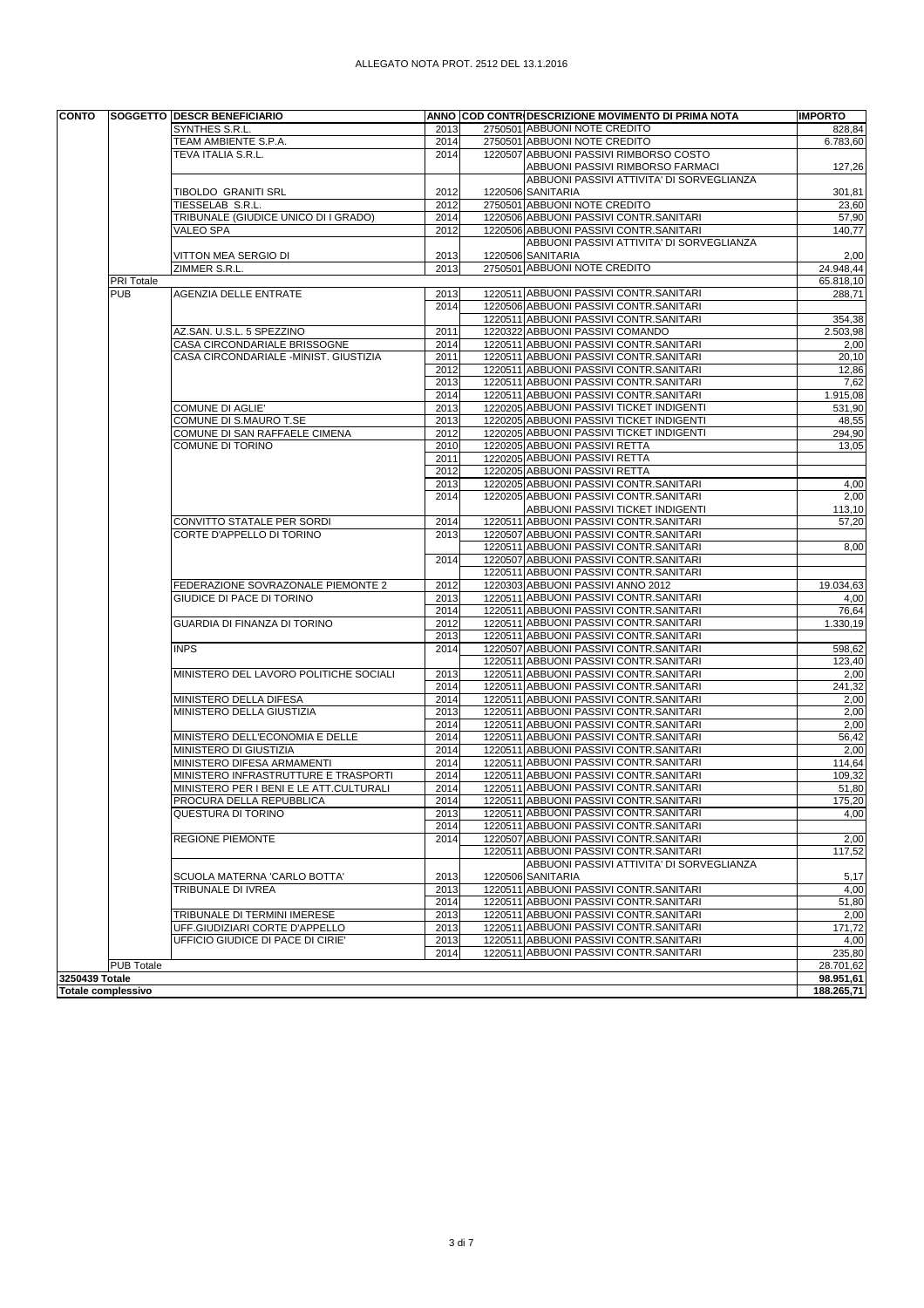| ALLEGATO NOTA PROT. 2512 DEL 13.1.2016 |  |  |  |
|----------------------------------------|--|--|--|
|                                        |  |  |  |

| <b>CONTO</b>   |                           | <b>SOGGETTO DESCR BENEFICIARIO</b>                              |              | ANNO COD CONTRIDESCRIZIONE MOVIMENTO DI PRIMA NOTA                                  | <b>IMPORTO</b>         |
|----------------|---------------------------|-----------------------------------------------------------------|--------------|-------------------------------------------------------------------------------------|------------------------|
|                |                           | SYNTHES S.R.L.                                                  | 2013         | 2750501 ABBUONI NOTE CREDITO                                                        | 828,84                 |
|                |                           | TEAM AMBIENTE S.P.A.                                            | 2014         | 2750501 ABBUONI NOTE CREDITO                                                        | 6.783,60               |
|                |                           | TEVA ITALIA S.R.L.                                              | 2014         | 1220507 ABBUONI PASSIVI RIMBORSO COSTO                                              |                        |
|                |                           |                                                                 |              | ABBUONI PASSIVI RIMBORSO FARMACI                                                    | 127,26                 |
|                |                           |                                                                 |              | ABBUONI PASSIVI ATTIVITA' DI SORVEGLIANZA                                           |                        |
|                |                           | TIBOLDO GRANITI SRL                                             | 2012         | 1220506 SANITARIA                                                                   | 301,81                 |
|                |                           | TIESSELAB S.R.L.                                                | 2012         | 2750501 ABBUONI NOTE CREDITO                                                        | 23,60                  |
|                |                           | TRIBUNALE (GIUDICE UNICO DI I GRADO)                            | 2014         | 1220506 ABBUONI PASSIVI CONTR.SANITARI                                              | 57,90                  |
|                |                           | VALEO SPA                                                       | 2012         | 1220506 ABBUONI PASSIVI CONTR.SANITARI<br>ABBUONI PASSIVI ATTIVITA' DI SORVEGLIANZA | 140,77                 |
|                |                           |                                                                 |              | 1220506 SANITARIA                                                                   |                        |
|                |                           | VITTON MEA SERGIO DI<br>ZIMMER S.R.L.                           | 2013<br>2013 | 2750501 ABBUONI NOTE CREDITO                                                        | 2,00<br>24.948,44      |
|                | PRI Totale                |                                                                 |              |                                                                                     | 65.818,10              |
|                | <b>PUB</b>                | <b>AGENZIA DELLE ENTRATE</b>                                    | 2013         | 1220511 ABBUONI PASSIVI CONTR.SANITARI                                              | 288,71                 |
|                |                           |                                                                 | 2014         | 1220506 ABBUONI PASSIVI CONTR.SANITARI                                              |                        |
|                |                           |                                                                 |              | 1220511 ABBUONI PASSIVI CONTR.SANITARI                                              | 354,38                 |
|                |                           | AZ.SAN. U.S.L. 5 SPEZZINO                                       | 2011         | 1220322 ABBUONI PASSIVI COMANDO                                                     | 2.503,98               |
|                |                           | CASA CIRCONDARIALE BRISSOGNE                                    | 2014         | 1220511 ABBUONI PASSIVI CONTR.SANITARI                                              | 2,00                   |
|                |                           | CASA CIRCONDARIALE - MINIST. GIUSTIZIA                          | 2011         | 1220511 ABBUONI PASSIVI CONTR.SANITARI                                              | 20,10                  |
|                |                           |                                                                 | 2012         | 1220511 ABBUONI PASSIVI CONTR.SANITARI                                              | 12,86                  |
|                |                           |                                                                 | 2013         | 1220511 ABBUONI PASSIVI CONTR.SANITARI                                              | 7,62                   |
|                |                           |                                                                 | 2014         | 1220511 ABBUONI PASSIVI CONTR.SANITARI                                              | 1.915,08               |
|                |                           | COMUNE DI AGLIE'                                                | 2013         | 1220205 ABBUONI PASSIVI TICKET INDIGENTI                                            | 531,90                 |
|                |                           | COMUNE DI S.MAURO T.SE                                          | 2013         | 1220205 ABBUONI PASSIVI TICKET INDIGENTI                                            | 48,55                  |
|                |                           | COMUNE DI SAN RAFFAELE CIMENA                                   | 2012         | 1220205 ABBUONI PASSIVI TICKET INDIGENTI                                            | 294,90                 |
|                |                           | COMUNE DI TORINO                                                | 2010         | 1220205 ABBUONI PASSIVI RETTA                                                       | 13,05                  |
|                |                           |                                                                 | 2011         | 1220205 ABBUONI PASSIVI RETTA                                                       |                        |
|                |                           |                                                                 | 2012         | 1220205 ABBUONI PASSIVI RETTA                                                       |                        |
|                |                           |                                                                 | 2013         | 1220205 ABBUONI PASSIVI CONTR.SANITARI                                              | 4,00                   |
|                |                           |                                                                 | 2014         | 1220205 ABBUONI PASSIVI CONTR.SANITARI                                              | 2,00                   |
|                |                           |                                                                 |              | ABBUONI PASSIVI TICKET INDIGENTI                                                    | 113,10                 |
|                |                           | CONVITTO STATALE PER SORDI                                      | 2014         | 1220511 ABBUONI PASSIVI CONTR.SANITARI                                              | 57,20                  |
|                |                           | CORTE D'APPELLO DI TORINO                                       | 2013         | 1220507 ABBUONI PASSIVI CONTR.SANITARI                                              |                        |
|                |                           |                                                                 |              | 1220511 ABBUONI PASSIVI CONTR.SANITARI                                              | 8,00                   |
|                |                           |                                                                 | 2014         | 1220507 ABBUONI PASSIVI CONTR.SANITARI                                              |                        |
|                |                           |                                                                 |              | 1220511 ABBUONI PASSIVI CONTR.SANITARI<br>1220303 ABBUONI PASSIVI ANNO 2012         |                        |
|                |                           | FEDERAZIONE SOVRAZONALE PIEMONTE 2<br>GIUDICE DI PACE DI TORINO | 2012<br>2013 | 1220511 ABBUONI PASSIVI CONTR.SANITARI                                              | 19.034,63              |
|                |                           |                                                                 | 2014         | 1220511 ABBUONI PASSIVI CONTR.SANITARI                                              | 4,00<br>76,64          |
|                |                           | GUARDIA DI FINANZA DI TORINO                                    | 2012         | 1220511 ABBUONI PASSIVI CONTR.SANITARI                                              | 1.330,19               |
|                |                           |                                                                 | 2013         | 1220511 ABBUONI PASSIVI CONTR.SANITARI                                              |                        |
|                |                           | <b>INPS</b>                                                     | 2014         | 1220507 ABBUONI PASSIVI CONTR.SANITARI                                              | 598,62                 |
|                |                           |                                                                 |              | 1220511 ABBUONI PASSIVI CONTR.SANITARI                                              | 123,40                 |
|                |                           | MINISTERO DEL LAVORO POLITICHE SOCIALI                          | 2013         | 1220511 ABBUONI PASSIVI CONTR.SANITARI                                              | 2,00                   |
|                |                           |                                                                 | 2014         | 1220511 ABBUONI PASSIVI CONTR.SANITARI                                              | 241,32                 |
|                |                           | MINISTERO DELLA DIFESA                                          | 2014         | 1220511 ABBUONI PASSIVI CONTR.SANITARI                                              | 2,00                   |
|                |                           | MINISTERO DELLA GIUSTIZIA                                       | 2013         | 1220511 ABBUONI PASSIVI CONTR.SANITARI                                              | 2,00                   |
|                |                           |                                                                 | 2014         | 1220511 ABBUONI PASSIVI CONTR.SANITARI                                              | 2,00                   |
|                |                           | MINISTERO DELL'ECONOMIA E DELLE                                 | 2014         | 1220511 ABBUONI PASSIVI CONTR.SANITARI                                              | 56,42                  |
|                |                           | MINISTERO DI GIUSTIZIA                                          | 2014         | 1220511 ABBUONI PASSIVI CONTR.SANITARI                                              | 2,00                   |
|                |                           | MINISTERO DIFESA ARMAMENTI                                      | 2014         | 1220511 ABBUONI PASSIVI CONTR.SANITARI                                              | 114,64                 |
|                |                           | MINISTERO INFRASTRUTTURE E TRASPORTI                            | 2014         | 1220511 ABBUONI PASSIVI CONTR.SANITARI                                              | 109,32                 |
|                |                           | MINISTERO PER I BENI E LE ATT.CULTURALI                         | 2014         | 1220511 ABBUONI PASSIVI CONTR.SANITARI                                              | 51,80                  |
|                |                           | PROCURA DELLA REPUBBLICA                                        | 2014         | 1220511 ABBUONI PASSIVI CONTR.SANITARI                                              | 175,20                 |
|                |                           | QUESTURA DI TORINO                                              | 2013         | 1220511 ABBUONI PASSIVI CONTR.SANITARI                                              | 4,00                   |
|                |                           |                                                                 | 2014         | 1220511 ABBUONI PASSIVI CONTR.SANITARI                                              |                        |
|                |                           | <b>REGIONE PIEMONTE</b>                                         | 2014         | 1220507 ABBUONI PASSIVI CONTR.SANITARI                                              | 2,00                   |
|                |                           |                                                                 |              | 1220511 ABBUONI PASSIVI CONTR.SANITARI                                              | 117,52                 |
|                |                           |                                                                 |              | ABBUONI PASSIVI ATTIVITA' DI SORVEGLIANZA                                           |                        |
|                |                           | SCUOLA MATERNA 'CARLO BOTTA'                                    | 2013         | 1220506 SANITARIA                                                                   | 5,17                   |
|                |                           | TRIBUNALE DI IVREA                                              | 2013         | 1220511 ABBUONI PASSIVI CONTR.SANITARI                                              | 4,00                   |
|                |                           |                                                                 | 2014         | 1220511 ABBUONI PASSIVI CONTR.SANITARI                                              | 51,80                  |
|                |                           | TRIBUNALE DI TERMINI IMERESE                                    | 2013         | 1220511 ABBUONI PASSIVI CONTR.SANITARI                                              | 2,00                   |
|                |                           | UFF.GIUDIZIARI CORTE D'APPELLO                                  | 2013         | 1220511 ABBUONI PASSIVI CONTR.SANITARI                                              | 171,72                 |
|                |                           | UFFICIO GIUDICE DI PACE DI CIRIE'                               | 2013         | 1220511 ABBUONI PASSIVI CONTR.SANITARI                                              | 4,00                   |
|                |                           |                                                                 | 2014         | 1220511 ABBUONI PASSIVI CONTR.SANITARI                                              | 235,80                 |
| 3250439 Totale | <b>PUB Totale</b>         |                                                                 |              |                                                                                     | 28.701,62<br>98.951,61 |
|                | <b>Totale complessivo</b> |                                                                 |              |                                                                                     | 188.265,71             |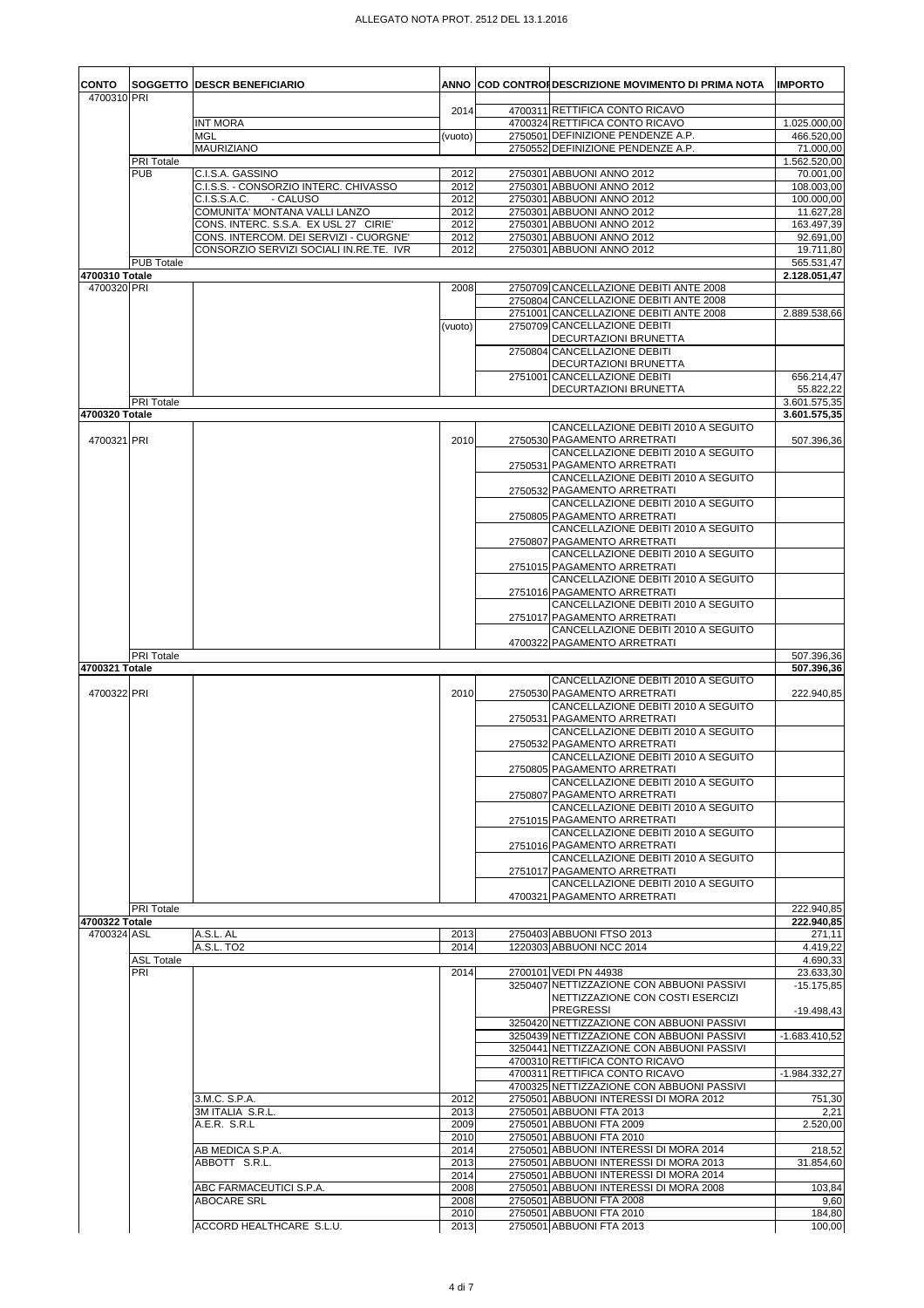| <b>CONTO</b>   |                          | SOGGETTO   DESCR BENEFICIARIO                                                     |              | ANNO COD CONTROFDESCRIZIONE MOVIMENTO DI PRIMA NOTA                              | <b>IMPORTO</b>               |
|----------------|--------------------------|-----------------------------------------------------------------------------------|--------------|----------------------------------------------------------------------------------|------------------------------|
| 4700310 PRI    |                          |                                                                                   | 2014         | 4700311 RETTIFICA CONTO RICAVO                                                   |                              |
|                |                          | <b>INT MORA</b>                                                                   |              | 4700324 RETTIFICA CONTO RICAVO                                                   | 1.025.000,00                 |
|                |                          | <b>MGL</b><br>MAURIZIANO                                                          | (vuoto)      | 2750501 DEFINIZIONE PENDENZE A.P.<br>2750552 DEFINIZIONE PENDENZE A.P.           | 466.520,00<br>71.000,00      |
|                | PRI Totale               |                                                                                   |              |                                                                                  | 1.562.520,00                 |
|                | <b>PUB</b>               | C.I.S.A. GASSINO                                                                  | 2012         | 2750301 ABBUONI ANNO 2012                                                        | 70.001,00                    |
|                |                          | C.I.S.S. - CONSORZIO INTERC. CHIVASSO<br>C.I.S.S.A.C.<br>- CALUSO                 | 2012<br>2012 | 2750301 ABBUONI ANNO 2012<br>2750301 ABBUONI ANNO 2012                           | 108.003,00<br>100.000,00     |
|                |                          | COMUNITA' MONTANA VALLI LANZO                                                     | 2012         | 2750301 ABBUONI ANNO 2012                                                        | 11.627,28                    |
|                |                          | CONS. INTERC. S.S.A. EX USL 27 CIRIE'                                             | 2012         | 2750301 ABBUONI ANNO 2012                                                        | 163.497,39                   |
|                |                          | CONS. INTERCOM. DEI SERVIZI - CUORGNE'<br>CONSORZIO SERVIZI SOCIALI IN.RE.TE. IVR | 2012<br>2012 | 2750301 ABBUONI ANNO 2012<br>2750301 ABBUONI ANNO 2012                           | 92.691,00                    |
|                | <b>PUB Totale</b>        |                                                                                   |              |                                                                                  | 19.711,80<br>565.531,47      |
| 4700310 Totale |                          |                                                                                   |              |                                                                                  | 2.128.051,47                 |
| 4700320 PRI    |                          |                                                                                   | 2008         | 2750709 CANCELLAZIONE DEBITI ANTE 2008<br>2750804 CANCELLAZIONE DEBITI ANTE 2008 |                              |
|                |                          |                                                                                   |              | 2751001 CANCELLAZIONE DEBITI ANTE 2008                                           | 2.889.538,66                 |
|                |                          |                                                                                   | (vuoto)      | 2750709 CANCELLAZIONE DEBITI                                                     |                              |
|                |                          |                                                                                   |              | DECURTAZIONI BRUNETTA                                                            |                              |
|                |                          |                                                                                   |              | 2750804 CANCELLAZIONE DEBITI<br>DECURTAZIONI BRUNETTA                            |                              |
|                |                          |                                                                                   |              | 2751001 CANCELLAZIONE DEBITI                                                     | 656.214,47                   |
|                |                          |                                                                                   |              | <b>DECURTAZIONI BRUNETTA</b>                                                     | 55.822,22                    |
| 4700320 Totale | PRI Totale               |                                                                                   |              |                                                                                  | 3.601.575,35<br>3.601.575,35 |
|                |                          |                                                                                   |              | CANCELLAZIONE DEBITI 2010 A SEGUITO                                              |                              |
| 4700321 PRI    |                          |                                                                                   | 2010         | 2750530 PAGAMENTO ARRETRATI                                                      | 507.396,36                   |
|                |                          |                                                                                   |              | CANCELLAZIONE DEBITI 2010 A SEGUITO<br>2750531 PAGAMENTO ARRETRATI               |                              |
|                |                          |                                                                                   |              | CANCELLAZIONE DEBITI 2010 A SEGUITO                                              |                              |
|                |                          |                                                                                   |              | 2750532 PAGAMENTO ARRETRATI                                                      |                              |
|                |                          |                                                                                   |              | CANCELLAZIONE DEBITI 2010 A SEGUITO<br>2750805 PAGAMENTO ARRETRATI               |                              |
|                |                          |                                                                                   |              | CANCELLAZIONE DEBITI 2010 A SEGUITO                                              |                              |
|                |                          |                                                                                   |              | 2750807 PAGAMENTO ARRETRATI                                                      |                              |
|                |                          |                                                                                   |              | CANCELLAZIONE DEBITI 2010 A SEGUITO<br>2751015 PAGAMENTO ARRETRATI               |                              |
|                |                          |                                                                                   |              | CANCELLAZIONE DEBITI 2010 A SEGUITO                                              |                              |
|                |                          |                                                                                   |              | 2751016 PAGAMENTO ARRETRATI                                                      |                              |
|                |                          |                                                                                   |              | CANCELLAZIONE DEBITI 2010 A SEGUITO                                              |                              |
|                |                          |                                                                                   |              | 2751017 PAGAMENTO ARRETRATI<br>CANCELLAZIONE DEBITI 2010 A SEGUITO               |                              |
|                |                          |                                                                                   |              | 4700322 PAGAMENTO ARRETRATI                                                      |                              |
| 4700321 Totale | <b>PRI</b> Totale        |                                                                                   |              |                                                                                  | 507.396,36<br>507.396.36     |
|                |                          |                                                                                   |              | CANCELLAZIONE DEBITI 2010 A SEGUITO                                              |                              |
| 4700322 PRI    |                          |                                                                                   | 2010         | 2750530 PAGAMENTO ARRETRATI                                                      | 222.940,85                   |
|                |                          |                                                                                   |              | CANCELLAZIONE DEBITI 2010 A SEGUITO<br>2750531 PAGAMENTO ARRETRATI               |                              |
|                |                          |                                                                                   |              | CANCELLAZIONE DEBITI 2010 A SEGUITO                                              |                              |
|                |                          |                                                                                   |              | 2750532 PAGAMENTO ARRETRATI                                                      |                              |
|                |                          |                                                                                   |              | CANCELLAZIONE DEBITI 2010 A SEGUITO<br>2750805 PAGAMENTO ARRETRATI               |                              |
|                |                          |                                                                                   |              | CANCELLAZIONE DEBITI 2010 A SEGUITO                                              |                              |
|                |                          |                                                                                   |              | 2750807 PAGAMENTO ARRETRATI                                                      |                              |
|                |                          |                                                                                   |              | CANCELLAZIONE DEBITI 2010 A SEGUITO<br>2751015 PAGAMENTO ARRETRATI               |                              |
|                |                          |                                                                                   |              | CANCELLAZIONE DEBITI 2010 A SEGUITO                                              |                              |
|                |                          |                                                                                   |              | 2751016 PAGAMENTO ARRETRATI                                                      |                              |
|                |                          |                                                                                   |              | CANCELLAZIONE DEBITI 2010 A SEGUITO<br>2751017 PAGAMENTO ARRETRATI               |                              |
|                |                          |                                                                                   |              | CANCELLAZIONE DEBITI 2010 A SEGUITO                                              |                              |
|                |                          |                                                                                   |              | 4700321 PAGAMENTO ARRETRATI                                                      |                              |
| 4700322 Totale | <b>PRI</b> Totale        |                                                                                   |              |                                                                                  | 222.940,85<br>222.940,85     |
| 4700324 ASL    |                          | A.S.L. AL                                                                         | 2013         | 2750403 ABBUONI FTSO 2013                                                        | 271,11                       |
|                |                          | A.S.L. TO <sub>2</sub>                                                            | 2014         | 1220303 ABBUONI NCC 2014                                                         | 4.419,22                     |
|                | <b>ASL Totale</b><br>PRI |                                                                                   | 2014         | 2700101 VEDI PN 44938                                                            | 4.690,33<br>23.633,30        |
|                |                          |                                                                                   |              | 3250407 NETTIZZAZIONE CON ABBUONI PASSIVI                                        | $-15.175.85$                 |
|                |                          |                                                                                   |              | NETTIZZAZIONE CON COSTI ESERCIZI<br><b>PREGRESSI</b>                             |                              |
|                |                          |                                                                                   |              | 3250420 NETTIZZAZIONE CON ABBUONI PASSIVI                                        | $-19.498,43$                 |
|                |                          |                                                                                   |              | 3250439 NETTIZZAZIONE CON ABBUONI PASSIVI                                        | -1.683.410,52                |
|                |                          |                                                                                   |              | 3250441 NETTIZZAZIONE CON ABBUONI PASSIVI<br>4700310 RETTIFICA CONTO RICAVO      |                              |
|                |                          |                                                                                   |              | 4700311 RETTIFICA CONTO RICAVO                                                   | -1.984.332,27                |
|                |                          |                                                                                   |              | 4700325 NETTIZZAZIONE CON ABBUONI PASSIVI                                        |                              |
|                |                          | 3.M.C. S.P.A.<br>3M ITALIA S.R.L.                                                 | 2012<br>2013 | 2750501 ABBUONI INTERESSI DI MORA 2012<br>2750501 ABBUONI FTA 2013               | 751,30<br>2,21               |
|                |                          | A.E.R. S.R.L                                                                      | 2009         | 2750501 ABBUONI FTA 2009                                                         | 2.520,00                     |
|                |                          |                                                                                   | 2010         | 2750501 ABBUONI FTA 2010                                                         |                              |
|                |                          | AB MEDICA S.P.A.<br>ABBOTT S.R.L.                                                 | 2014<br>2013 | 2750501 ABBUONI INTERESSI DI MORA 2014<br>2750501 ABBUONI INTERESSI DI MORA 2013 | 218,52<br>31.854,60          |
|                |                          |                                                                                   | 2014         | 2750501 ABBUONI INTERESSI DI MORA 2014                                           |                              |
|                |                          |                                                                                   |              |                                                                                  |                              |
|                |                          | ABC FARMACEUTICI S.P.A.                                                           | 2008         | 2750501 ABBUONI INTERESSI DI MORA 2008                                           | 103,84                       |
|                |                          | ABOCARE SRL                                                                       | 2008<br>2010 | 2750501 ABBUONI FTA 2008<br>2750501 ABBUONI FTA 2010                             | 9,60<br>184,80               |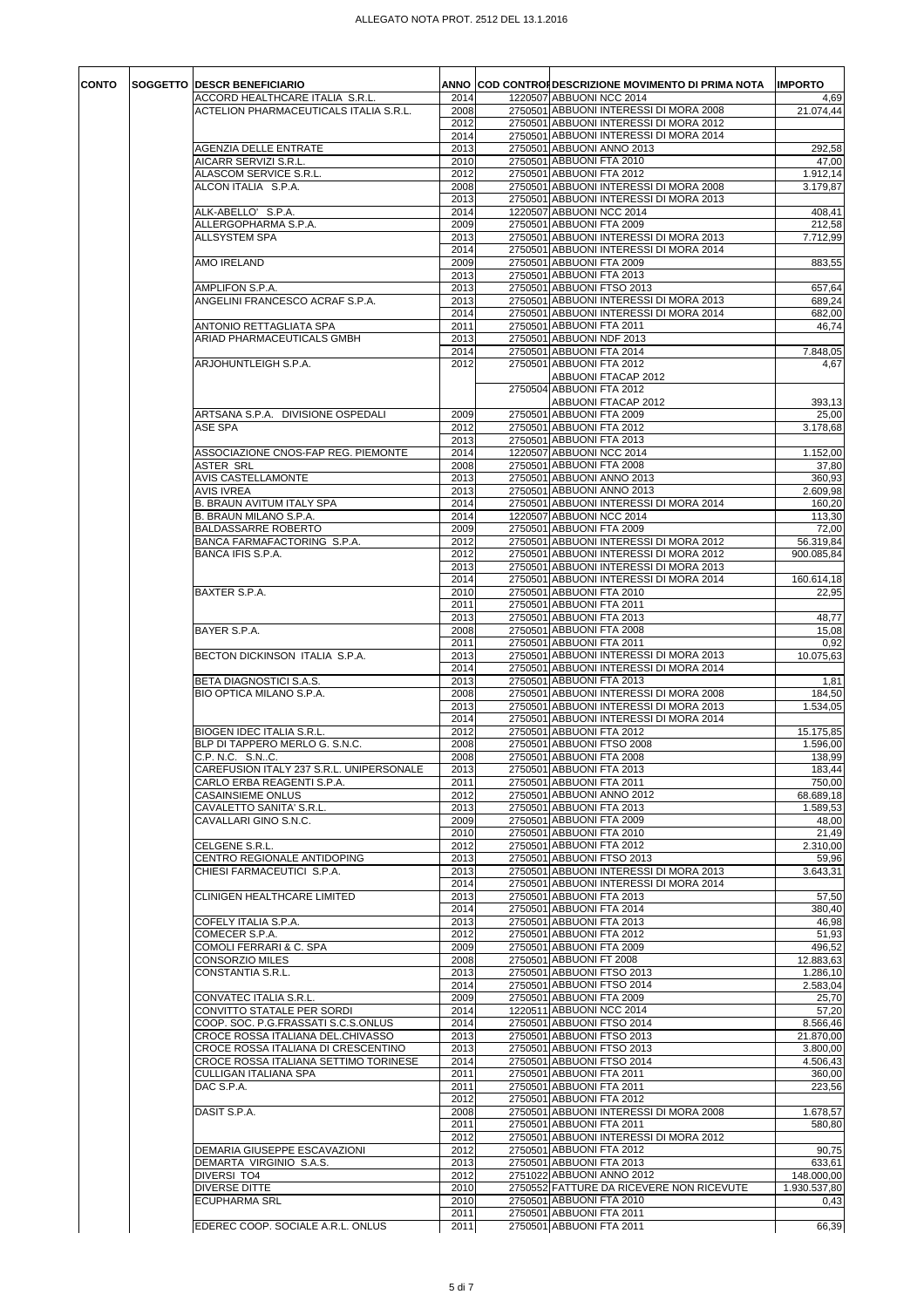| CONTO | SOGGETTO DESCR BENEFICIARIO              |      | ANNO COD CONTRONDESCRIZIONE MOVIMENTO DI PRIMA NOTA | <b>IMPORTO</b> |
|-------|------------------------------------------|------|-----------------------------------------------------|----------------|
|       | ACCORD HEALTHCARE ITALIA S.R.L.          | 2014 | 1220507 ABBUONI NCC 2014                            | 4,69           |
|       | ACTELION PHARMACEUTICALS ITALIA S.R.L.   | 2008 | 2750501 ABBUONI INTERESSI DI MORA 2008              | 21.074,44      |
|       |                                          | 2012 | 2750501 ABBUONI INTERESSI DI MORA 2012              |                |
|       |                                          | 2014 | 2750501 ABBUONI INTERESSI DI MORA 2014              |                |
|       | <b>AGENZIA DELLE ENTRATE</b>             | 2013 | 2750501 ABBUONI ANNO 2013                           | 292,58         |
|       | AICARR SERVIZI S.R.L.                    | 2010 | 2750501 ABBUONI FTA 2010                            | 47,00          |
|       | ALASCOM SERVICE S.R.L.                   | 2012 | 2750501 ABBUONI FTA 2012                            | 1.912, 14      |
|       | ALCON ITALIA S.P.A.                      | 2008 | 2750501 ABBUONI INTERESSI DI MORA 2008              | 3.179,87       |
|       |                                          | 2013 | 2750501 ABBUONI INTERESSI DI MORA 2013              |                |
|       | ALK-ABELLO' S.P.A.                       | 2014 | 1220507 ABBUONI NCC 2014                            | 408,41         |
|       | ALLERGOPHARMA S.P.A.                     | 2009 | 2750501 ABBUONI FTA 2009                            | 212,58         |
|       | <b>ALLSYSTEM SPA</b>                     | 2013 | 2750501 ABBUONI INTERESSI DI MORA 2013              | 7.712,99       |
|       |                                          | 2014 | 2750501 ABBUONI INTERESSI DI MORA 2014              |                |
|       | AMO IRELAND                              | 2009 | 2750501 ABBUONI FTA 2009                            | 883,55         |
|       |                                          | 2013 | 2750501 ABBUONI FTA 2013                            |                |
|       | AMPLIFON S.P.A.                          | 2013 | 2750501 ABBUONI FTSO 2013                           | 657,64         |
|       | ANGELINI FRANCESCO ACRAF S.P.A.          | 2013 | 2750501 ABBUONI INTERESSI DI MORA 2013              | 689,24         |
|       |                                          | 2014 | 2750501 ABBUONI INTERESSI DI MORA 2014              | 682,00         |
|       | ANTONIO RETTAGLIATA SPA                  | 2011 | 2750501 ABBUONI FTA 2011                            | 46,74          |
|       | ARIAD PHARMACEUTICALS GMBH               | 2013 | 2750501 ABBUONI NDF 2013                            |                |
|       |                                          | 2014 | 2750501 ABBUONI FTA 2014                            | 7.848,05       |
|       | ARJOHUNTLEIGH S.P.A.                     | 2012 | 2750501 ABBUONI FTA 2012                            | 4,67           |
|       |                                          |      | ABBUONI FTACAP 2012                                 |                |
|       |                                          |      | 2750504 ABBUONI FTA 2012                            |                |
|       |                                          |      |                                                     |                |
|       |                                          |      | ABBUONI FTACAP 2012                                 | 393,13         |
|       | ARTSANA S.P.A. DIVISIONE OSPEDALI        | 2009 | 2750501 ABBUONI FTA 2009                            | 25,00          |
|       | <b>ASE SPA</b>                           | 2012 | 2750501 ABBUONI FTA 2012                            | 3.178,68       |
|       |                                          | 2013 | 2750501 ABBUONI FTA 2013                            |                |
|       | ASSOCIAZIONE CNOS-FAP REG. PIEMONTE      | 2014 | 1220507 ABBUONI NCC 2014                            | 1.152,00       |
|       | <b>ASTER SRL</b>                         | 2008 | 2750501 ABBUONI FTA 2008                            | 37,80          |
|       | <b>AVIS CASTELLAMONTE</b>                | 2013 | 2750501 ABBUONI ANNO 2013                           | 360,93         |
|       | <b>AVIS IVREA</b>                        | 2013 | 2750501 ABBUONI ANNO 2013                           | 2.609,98       |
|       | B. BRAUN AVITUM ITALY SPA                | 2014 | 2750501 ABBUONI INTERESSI DI MORA 2014              | 160,20         |
|       | B. BRAUN MILANO S.P.A.                   | 2014 | 1220507 ABBUONI NCC 2014                            | 113,30         |
|       | BALDASSARRE ROBERTO                      | 2009 | 2750501 ABBUONI FTA 2009                            | 72,00          |
|       | BANCA FARMAFACTORING S.P.A.              | 2012 | 2750501 ABBUONI INTERESSI DI MORA 2012              | 56.319,84      |
|       | BANCA IFIS S.P.A.                        | 2012 | 2750501 ABBUONI INTERESSI DI MORA 2012              | 900.085,84     |
|       |                                          | 2013 | 2750501 ABBUONI INTERESSI DI MORA 2013              |                |
|       |                                          | 2014 | 2750501 ABBUONI INTERESSI DI MORA 2014              | 160.614,18     |
|       | BAXTER S.P.A.                            | 2010 | 2750501 ABBUONI FTA 2010                            | 22,95          |
|       |                                          | 2011 | 2750501 ABBUONI FTA 2011                            |                |
|       |                                          | 2013 | 2750501 ABBUONI FTA 2013                            | 48,77          |
|       | BAYER S.P.A.                             | 2008 | 2750501 ABBUONI FTA 2008                            | 15,08          |
|       |                                          | 2011 | 2750501 ABBUONI FTA 2011                            | 0,92           |
|       | BECTON DICKINSON ITALIA S.P.A.           | 2013 | 2750501 ABBUONI INTERESSI DI MORA 2013              | 10.075,63      |
|       |                                          | 2014 | 2750501 ABBUONI INTERESSI DI MORA 2014              |                |
|       | BETA DIAGNOSTICI S.A.S.                  | 2013 | 2750501 ABBUONI FTA 2013                            | 1,81           |
|       | BIO OPTICA MILANO S.P.A.                 | 2008 | 2750501 ABBUONI INTERESSI DI MORA 2008              | 184,50         |
|       |                                          | 2013 | 2750501 ABBUONI INTERESSI DI MORA 2013              | 1.534,05       |
|       |                                          | 2014 | 2750501 ABBUONI INTERESSI DI MORA 2014              |                |
|       | BIOGEN IDEC ITALIA S.R.L.                | 2012 | 2750501 ABBUONI FTA 2012                            | 15.175,85      |
|       | BLP DI TAPPERO MERLO G. S.N.C.           | 2008 | 2750501 ABBUONI FTSO 2008                           | 1.596,00       |
|       | C.P. N.C. S.N. C.                        | 2008 | 2750501 ABBUONI FTA 2008                            | 138,99         |
|       | CAREFUSION ITALY 237 S.R.L. UNIPERSONALE | 2013 | 2750501 ABBUONI FTA 2013                            | 183,44         |
|       | CARLO ERBA REAGENTI S.P.A.               | 2011 | 2750501 ABBUONI FTA 2011                            | 750.00         |
|       | CASAINSIEME ONLUS                        | 2012 | 2750501 ABBUONI ANNO 2012                           | 68.689,18      |
|       | CAVALETTO SANITA' S.R.L.                 | 2013 | 2750501 ABBUONI FTA 2013                            | 1.589,53       |
|       | CAVALLARI GINO S.N.C.                    | 2009 | 2750501 ABBUONI FTA 2009                            | 48,00          |
|       |                                          | 2010 | 2750501 ABBUONI FTA 2010                            | 21,49          |
|       | CELGENE S.R.L.                           | 2012 | 2750501 ABBUONI FTA 2012                            | 2.310,00       |
|       | CENTRO REGIONALE ANTIDOPING              | 2013 | 2750501 ABBUONI FTSO 2013                           | 59,96          |
|       | CHIESI FARMACEUTICI S.P.A.               | 2013 | 2750501 ABBUONI INTERESSI DI MORA 2013              | 3.643,31       |
|       |                                          | 2014 | 2750501 ABBUONI INTERESSI DI MORA 2014              |                |
|       | <b>CLINIGEN HEALTHCARE LIMITED</b>       | 2013 | 2750501 ABBUONI FTA 2013                            | 57,50          |
|       |                                          | 2014 | 2750501 ABBUONI FTA 2014                            | 380,40         |
|       | COFELY ITALIA S.P.A.                     | 2013 | 2750501 ABBUONI FTA 2013                            | 46,98          |
|       | COMECER S.P.A.                           | 2012 | 2750501 ABBUONI FTA 2012                            | 51,93          |
|       | COMOLI FERRARI & C. SPA                  | 2009 | 2750501 ABBUONI FTA 2009                            | 496,52         |
|       | <b>CONSORZIO MILES</b>                   | 2008 | 2750501 ABBUONI FT 2008                             | 12.883,63      |
|       | CONSTANTIA S.R.L.                        | 2013 | 2750501 ABBUONI FTSO 2013                           | 1.286,10       |
|       |                                          | 2014 | 2750501 ABBUONI FTSO 2014                           | 2.583,04       |
|       | CONVATEC ITALIA S.R.L.                   | 2009 | 2750501 ABBUONI FTA 2009                            | 25,70          |
|       | CONVITTO STATALE PER SORDI               | 2014 | 1220511 ABBUONI NCC 2014                            | 57,20          |
|       | COOP. SOC. P.G.FRASSATI S.C.S.ONLUS      | 2014 | 2750501 ABBUONI FTSO 2014                           | 8.566,46       |
|       | CROCE ROSSA ITALIANA DEL.CHIVASSO        | 2013 | 2750501 ABBUONI FTSO 2013                           | 21.870,00      |
|       | CROCE ROSSA ITALIANA DI CRESCENTINO      | 2013 | 2750501 ABBUONI FTSO 2013                           | 3.800,00       |
|       | CROCE ROSSA ITALIANA SETTIMO TORINESE    | 2014 | 2750501 ABBUONI FTSO 2014                           | 4.506,43       |
|       | CULLIGAN ITALIANA SPA                    | 2011 | 2750501 ABBUONI FTA 2011                            | 360,00         |
|       | DAC S.P.A.                               | 2011 | 2750501 ABBUONI FTA 2011                            | 223,56         |
|       |                                          | 2012 | 2750501 ABBUONI FTA 2012                            |                |
|       | DASIT S.P.A.                             | 2008 | 2750501 ABBUONI INTERESSI DI MORA 2008              | 1.678,57       |
|       |                                          | 2011 | 2750501 ABBUONI FTA 2011                            | 580,80         |
|       |                                          | 2012 | 2750501 ABBUONI INTERESSI DI MORA 2012              |                |
|       | DEMARIA GIUSEPPE ESCAVAZIONI             | 2012 | 2750501 ABBUONI FTA 2012                            | 90,75          |
|       | DEMARTA VIRGINIO S.A.S.                  | 2013 | 2750501 ABBUONI FTA 2013                            | 633,61         |
|       | DIVERSI TO4                              | 2012 | 2751022 ABBUONI ANNO 2012                           | 148.000,00     |
|       | <b>DIVERSE DITTE</b>                     | 2010 | 2750552 FATTURE DA RICEVERE NON RICEVUTE            | 1.930.537,80   |
|       | <b>ECUPHARMA SRL</b>                     | 2010 | 2750501 ABBUONI FTA 2010                            | 0,43           |
|       |                                          | 2011 | 2750501 ABBUONI FTA 2011                            |                |
|       | EDEREC COOP. SOCIALE A.R.L. ONLUS        | 2011 | 2750501 ABBUONI FTA 2011                            | 66,39          |
|       |                                          |      |                                                     |                |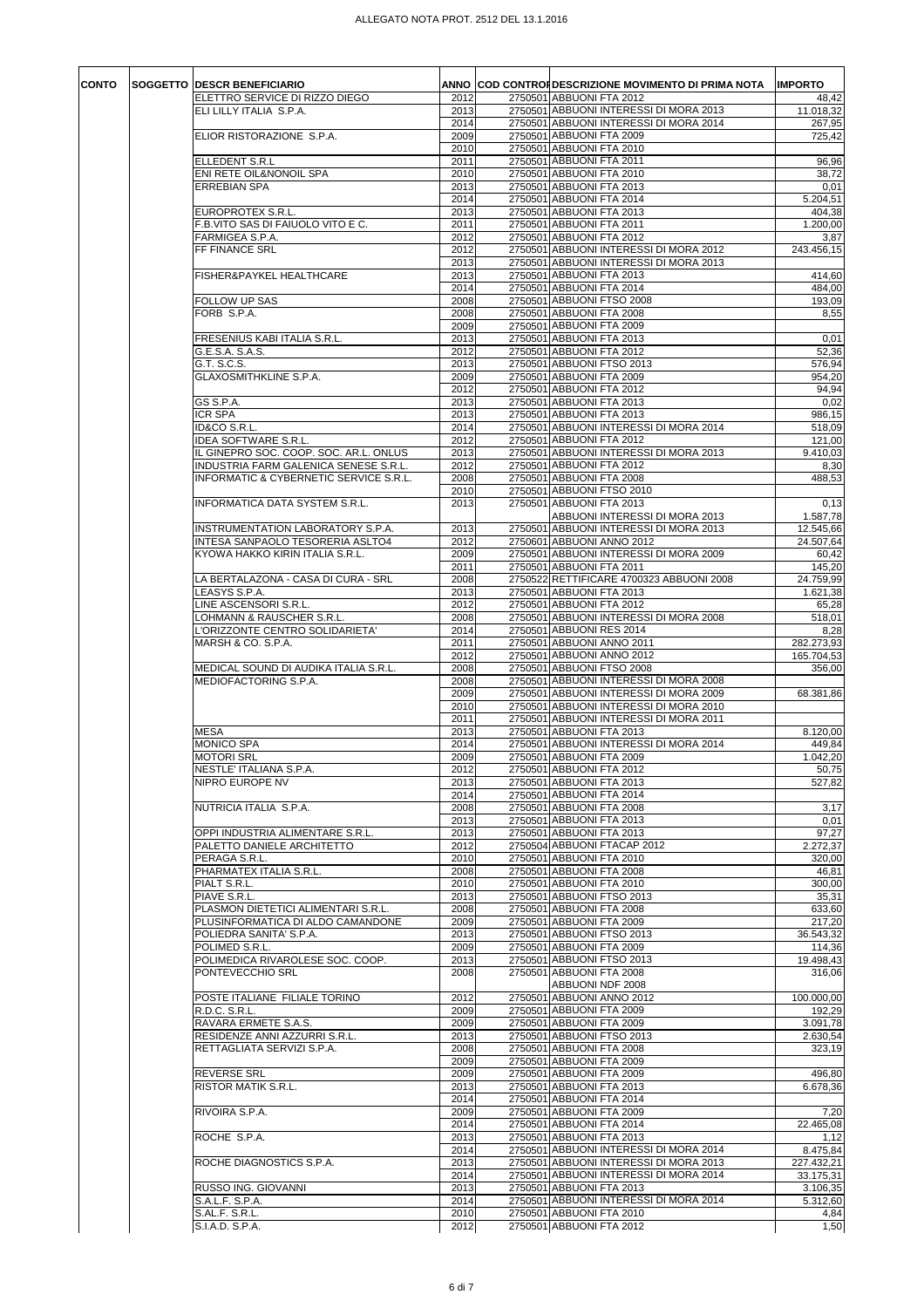| CONTO | <b>SOGGETTO DESCR BENEFICIARIO</b>                                       | 2012         | ANNO COD CONTRONDESCRIZIONE MOVIMENTO DI PRIMA NOTA                 | <b>IMPORTO</b>       |
|-------|--------------------------------------------------------------------------|--------------|---------------------------------------------------------------------|----------------------|
|       | ELETTRO SERVICE DI RIZZO DIEGO<br>ELI LILLY ITALIA S.P.A.                | 2013         | 2750501 ABBUONI FTA 2012<br>2750501 ABBUONI INTERESSI DI MORA 2013  | 48,42<br>11.018,32   |
|       |                                                                          | 2014         | 2750501 ABBUONI INTERESSI DI MORA 2014                              | 267,95               |
|       | ELIOR RISTORAZIONE S.P.A.                                                | 2009         | 2750501 ABBUONI FTA 2009                                            | 725,42               |
|       | ELLEDENT S.R.L                                                           | 2010<br>2011 | 2750501 ABBUONI FTA 2010<br>2750501 ABBUONI FTA 2011                | 96,96                |
|       | ENI RETE OIL&NONOIL SPA                                                  | 2010         | 2750501 ABBUONI FTA 2010                                            | 38,72                |
|       | <b>ERREBIAN SPA</b>                                                      | 2013         | 2750501 ABBUONI FTA 2013                                            | 0,01                 |
|       |                                                                          | 2014         | 2750501 ABBUONI FTA 2014                                            | 5.204,51             |
|       | EUROPROTEX S.R.L.<br>F.B.VITO SAS DI FAIUOLO VITO E C.                   | 2013<br>2011 | 2750501 ABBUONI FTA 2013<br>2750501 ABBUONI FTA 2011                | 404,38<br>1.200,00   |
|       | FARMIGEA S.P.A.                                                          | 2012         | 2750501 ABBUONI FTA 2012                                            | 3,87                 |
|       | FF FINANCE SRL                                                           | 2012         | 2750501 ABBUONI INTERESSI DI MORA 2012                              | 243.456,15           |
|       | FISHER&PAYKEL HEALTHCARE                                                 | 2013<br>2013 | 2750501 ABBUONI INTERESSI DI MORA 2013<br>2750501 ABBUONI FTA 2013  | 414,60               |
|       |                                                                          | 2014         | 2750501 ABBUONI FTA 2014                                            | 484,00               |
|       | FOLLOW UP SAS                                                            | 2008         | 2750501 ABBUONI FTSO 2008                                           | 193,09               |
|       | FORB S.P.A.                                                              | 2008         | 2750501 ABBUONI FTA 2008                                            | 8,55                 |
|       | FRESENIUS KABI ITALIA S.R.L.                                             | 2009<br>2013 | 2750501 ABBUONI FTA 2009<br>2750501 ABBUONI FTA 2013                | 0,01                 |
|       | G.E.S.A. S.A.S.                                                          | 2012         | 2750501 ABBUONI FTA 2012                                            | $\overline{52,36}$   |
|       | G.T. S.C.S.                                                              | 2013         | 2750501 ABBUONI FTSO 2013                                           | 576,94               |
|       | <b>GLAXOSMITHKLINE S.P.A.</b>                                            | 2009<br>2012 | 2750501 ABBUONI FTA 2009<br>2750501 ABBUONI FTA 2012                | 954,20<br>94,94      |
|       | GS S.P.A.                                                                | 2013         | 2750501 ABBUONI FTA 2013                                            | 0,02                 |
|       | ICR SPA                                                                  | 2013         | 2750501 ABBUONI FTA 2013                                            | 986,15               |
|       | ID&CO S.R.L.                                                             | 2014         | 2750501 ABBUONI INTERESSI DI MORA 2014                              | 518,09               |
|       | IDEA SOFTWARE S.R.L.<br>IL GINEPRO SOC. COOP. SOC. AR.L. ONLUS           | 2012<br>2013 | 2750501 ABBUONI FTA 2012<br>2750501 ABBUONI INTERESSI DI MORA 2013  | 121,00<br>9.410,03   |
|       | INDUSTRIA FARM GALENICA SENESE S.R.L.                                    | 2012         | 2750501 ABBUONI FTA 2012                                            | 8,30                 |
|       | INFORMATIC & CYBERNETIC SERVICE S.R.L.                                   | 2008         | 2750501 ABBUONI FTA 2008                                            | 488,53               |
|       |                                                                          | 2010         | 2750501 ABBUONI FTSO 2010                                           |                      |
|       | INFORMATICA DATA SYSTEM S.R.L.                                           | 2013         | 2750501 ABBUONI FTA 2013<br>ABBUONI INTERESSI DI MORA 2013          | 0,13<br>1.587,78     |
|       | INSTRUMENTATION LABORATORY S.P.A.                                        | 2013         | 2750501 ABBUONI INTERESSI DI MORA 2013                              | 12.545,66            |
|       | INTESA SANPAOLO TESORERIA ASLTO4                                         | 2012         | 2750601 ABBUONI ANNO 2012                                           | 24.507,64            |
|       | KYOWA HAKKO KIRIN ITALIA S.R.L.                                          | 2009<br>2011 | 2750501 ABBUONI INTERESSI DI MORA 2009<br>2750501 ABBUONI FTA 2011  | 60,42<br>145,20      |
|       | LA BERTALAZONA - CASA DI CURA - SRL                                      | 2008         | 2750522 RETTIFICARE 4700323 ABBUONI 2008                            | 24.759,99            |
|       | LEASYS S.P.A.                                                            | 2013         | 2750501 ABBUONI FTA 2013                                            | 1.621,38             |
|       | LINE ASCENSORI S.R.L.                                                    | 2012         | 2750501 ABBUONI FTA 2012                                            | 65,28                |
|       | LOHMANN & RAUSCHER S.R.L.<br>L'ORIZZONTE CENTRO SOLIDARIETA'             | 2008<br>2014 | 2750501 ABBUONI INTERESSI DI MORA 2008<br>2750501 ABBUONI RES 2014  | 518,01<br>8,28       |
|       | MARSH & CO. S.P.A.                                                       | 2011         | 2750501 ABBUONI ANNO 2011                                           | 282.273,93           |
|       |                                                                          | 2012         | 2750501 ABBUONI ANNO 2012                                           | 165.704,53           |
|       | MEDICAL SOUND DI AUDIKA ITALIA S.R.L.<br>MEDIOFACTORING S.P.A.           | 2008<br>2008 | 2750501 ABBUONI FTSO 2008<br>2750501 ABBUONI INTERESSI DI MORA 2008 | 356,00               |
|       |                                                                          | 2009         | 2750501 ABBUONI INTERESSI DI MORA 2009                              | 68.381,86            |
|       |                                                                          | 2010         | 2750501 ABBUONI INTERESSI DI MORA 2010                              |                      |
|       |                                                                          | 2011         | 2750501 ABBUONI INTERESSI DI MORA 2011                              |                      |
|       | <b>MESA</b><br><b>MONICO SPA</b>                                         | 2013<br>2014 | 2750501 ABBUONI FTA 2013<br>2750501 ABBUONI INTERESSI DI MORA 2014  | 8.120,00<br>449,84   |
|       | <b>MOTORI SRL</b>                                                        | 2009         | 2750501 ABBUONI FTA 2009                                            | 1.042.20             |
|       | NESTLE' ITALIANA S.P.A.                                                  | 2012         | 2750501 ABBUONI FTA 2012                                            | 50, 75               |
|       | NIPRO EUROPE NV                                                          | 2013         | 2750501 ABBUONI FTA 2013                                            | 527,82               |
|       | NUTRICIA ITALIA S.P.A.                                                   | 2014<br>2008 | 2750501 ABBUONI FTA 2014<br>2750501 ABBUONI FTA 2008                | 3,17                 |
|       |                                                                          | 2013         | 2750501 ABBUONI FTA 2013                                            | 0,01                 |
|       | OPPI INDUSTRIA ALIMENTARE S.R.L.                                         | 2013         | 2750501 ABBUONI FTA 2013                                            | 97,27                |
|       | PALETTO DANIELE ARCHITETTO<br>PERAGA S.R.L.                              | 2012<br>2010 | 2750504 ABBUONI FTACAP 2012<br>2750501 ABBUONI FTA 2010             | 2.272,37<br>320,00   |
|       | PHARMATEX ITALIA S.R.L.                                                  | 2008         | 2750501 ABBUONI FTA 2008                                            | 46,81                |
|       | PIALT S.R.L.                                                             | 2010         | 2750501 ABBUONI FTA 2010                                            | 300,00               |
|       | PIAVE S.R.L.                                                             | 2013         | 2750501 ABBUONI FTSO 2013                                           | 35,31                |
|       | PLASMON DIETETICI ALIMENTARI S.R.L.<br>PLUSINFORMATICA DI ALDO CAMANDONE | 2008<br>2009 | 2750501 ABBUONI FTA 2008<br>2750501 ABBUONI FTA 2009                | 633,60<br>217,20     |
|       | POLIEDRA SANITA' S.P.A.                                                  | 2013         | 2750501 ABBUONI FTSO 2013                                           | 36.543,32            |
|       | POLIMED S.R.L.                                                           | 2009         | 2750501 ABBUONI FTA 2009                                            | 114,36               |
|       | POLIMEDICA RIVAROLESE SOC. COOP.<br>PONTEVECCHIO SRL                     | 2013         | 2750501 ABBUONI FTSO 2013<br>2750501 ABBUONI FTA 2008               | 19.498,43            |
|       |                                                                          | 2008         | ABBUONI NDF 2008                                                    | 316,06               |
|       | POSTE ITALIANE FILIALE TORINO                                            | 2012         | 2750501 ABBUONI ANNO 2012                                           | 100.000,00           |
|       | R.D.C. S.R.L.                                                            | 2009         | 2750501 ABBUONI FTA 2009                                            | 192,29               |
|       | RAVARA ERMETE S.A.S.<br>RESIDENZE ANNI AZZURRI S.R.L.                    | 2009<br>2013 | 2750501 ABBUONI FTA 2009<br>2750501 ABBUONI FTSO 2013               | 3.091,78<br>2.630,54 |
|       | RETTAGLIATA SERVIZI S.P.A.                                               | 2008         | 2750501 ABBUONI FTA 2008                                            | 323,19               |
|       |                                                                          | 2009         | 2750501 ABBUONI FTA 2009                                            |                      |
|       | <b>REVERSE SRL</b>                                                       | 2009         | 2750501 ABBUONI FTA 2009                                            | 496,80               |
|       | RISTOR MATIK S.R.L.                                                      | 2013<br>2014 | 2750501 ABBUONI FTA 2013<br>2750501 ABBUONI FTA 2014                | 6.678,36             |
|       | RIVOIRA S.P.A.                                                           | 2009         | 2750501 ABBUONI FTA 2009                                            | 7,20                 |
|       |                                                                          | 2014         | 2750501 ABBUONI FTA 2014                                            | 22.465,08            |
|       | ROCHE S.P.A.                                                             | 2013<br>2014 | 2750501 ABBUONI FTA 2013<br>2750501 ABBUONI INTERESSI DI MORA 2014  | 1,12<br>8.475,84     |
|       | ROCHE DIAGNOSTICS S.P.A.                                                 | 2013         | 2750501 ABBUONI INTERESSI DI MORA 2013                              | 227.432,21           |
|       |                                                                          | 2014         | 2750501 ABBUONI INTERESSI DI MORA 2014                              | 33.175,31            |
|       | RUSSO ING. GIOVANNI                                                      | 2013<br>2014 | 2750501 ABBUONI FTA 2013                                            | 3.106,35             |
|       | S.A.L.F. S.P.A.<br>S.AL.F. S.R.L.                                        | 2010         | 2750501 ABBUONI INTERESSI DI MORA 2014<br>2750501 ABBUONI FTA 2010  | 5.312,60<br>4,84     |
|       | S.I.A.D. S.P.A.                                                          | 2012         | 2750501 ABBUONI FTA 2012                                            | 1,50                 |